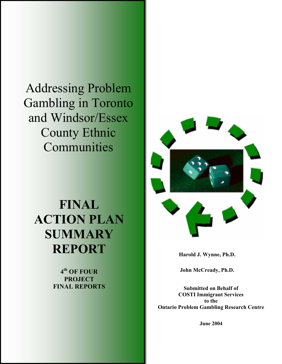Addressing Problem Gambling in Toronto and Windsor/Essex County Ethnic Communities

# **FINAL ACTION PLAN SUMMARY REPORT**

**4th OF FOUR PROJECT FINAL REPORTS**



**Harold J. Wynne, Ph.D.** 

**John McCready, Ph.D.** 

**Submitted on Behalf of COSTI Immigrant Services to the Ontario Problem Gambling Research Centre** 

**June 2004**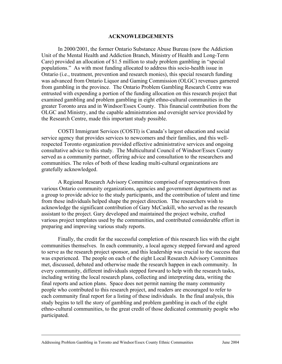#### **ACKNOWLEDGEMENTS**

In 2000/2001, the former Ontario Substance Abuse Bureau (now the Addiction Unit of the Mental Health and Addiction Branch, Ministry of Health and Long-Term Care) provided an allocation of \$1.5 million to study problem gambling in "special populations." As with most funding allocated to address this socio-health issue in Ontario (i.e., treatment, prevention and research monies), this special research funding was advanced from Ontario Liquor and Gaming Commission (OLGC) revenues garnered from gambling in the province. The Ontario Problem Gambling Research Centre was entrusted with expending a portion of the funding allocation on this research project that examined gambling and problem gambling in eight ethno-cultural communities in the greater Toronto area and in Windsor/Essex County. This financial contribution from the OLGC and Ministry, and the capable administration and oversight service provided by the Research Centre, made this important study possible.

COSTI Immigrant Services (COSTI) is Canada's largest education and social service agency that provides services to newcomers and their families, and this wellrespected Toronto organization provided effective administrative services and ongoing consultative advice to this study. The Multicultural Council of Windsor/Essex County served as a community partner, offering advice and consultation to the researchers and communities. The roles of both of these leading multi-cultural organizations are gratefully acknowledged.

A Regional Research Advisory Committee comprised of representatives from various Ontario community organizations, agencies and government departments met as a group to provide advice to the study participants, and the contribution of talent and time from these individuals helped shape the project direction. The researchers wish to acknowledge the significant contribution of Gary McCaskill, who served as the research assistant to the project. Gary developed and maintained the project website, crafted various project templates used by the communities, and contributed considerable effort in preparing and improving various study reports.

Finally, the credit for the successful completion of this research lies with the eight communities themselves. In each community, a local agency stepped forward and agreed to serve as the research project sponsor, and this leadership was crucial to the success that was experienced. The people on each of the eight Local Research Advisory Committees met, discussed, debated and otherwise made the research happen in each community. In every community, different individuals stepped forward to help with the research tasks, including writing the local research plans, collecting and interpreting data, writing the final reports and action plans. Space does not permit naming the many community people who contributed to this research project, and readers are encouraged to refer to each community final report for a listing of these individuals. In the final analysis, this study begins to tell the story of gambling and problem gambling in each of the eight ethno-cultural communities, to the great credit of those dedicated community people who participated.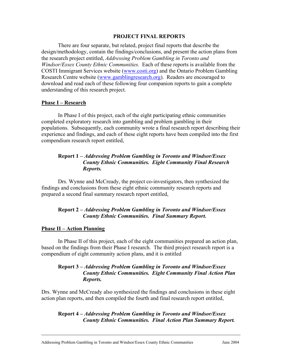#### **PROJECT FINAL REPORTS**

There are four separate, but related, project final reports that describe the design/methodology, contain the findings/conclusions, and present the action plans from the research project entitled, *Addressing Problem Gambling in Toronto and Windsor/Essex County Ethnic Communities.* Each of these reports is available from the COSTI Immigrant Services website (www.costi.org) and the Ontario Problem Gambling Research Centre website (www.gamblingresearch.org). Readers are encouraged to download and read each of these following four companion reports to gain a complete understanding of this research project.

#### **Phase I – Research**

In Phase I of this project, each of the eight participating ethnic communities completed exploratory research into gambling and problem gambling in their populations. Subsequently, each community wrote a final research report describing their experience and findings, and each of these eight reports have been compiled into the first compendium research report entitled,

#### **Report 1 –** *Addressing Problem Gambling in Toronto and Windsor/Essex County Ethnic Communities. Eight Community Final Research Reports.*

Drs. Wynne and McCready, the project co-investigators, then synthesized the findings and conclusions from these eight ethnic community research reports and prepared a second final summary research report entitled,

#### **Report 2 –** *Addressing Problem Gambling in Toronto and Windsor/Essex County Ethnic Communities. Final Summary Report.*

#### **Phase II – Action Planning**

 In Phase II of this project, each of the eight communities prepared an action plan, based on the findings from their Phase I research. The third project research report is a compendium of eight community action plans, and it is entitled

#### **Report 3 –** *Addressing Problem Gambling in Toronto and Windsor/Essex County Ethnic Communities. Eight Community Final Action Plan Reports.*

Drs. Wynne and McCready also synthesized the findings and conclusions in these eight action plan reports, and then compiled the fourth and final research report entitled,

#### **Report 4 –** *Addressing Problem Gambling in Toronto and Windsor/Essex County Ethnic Communities. Final Action Plan Summary Report.*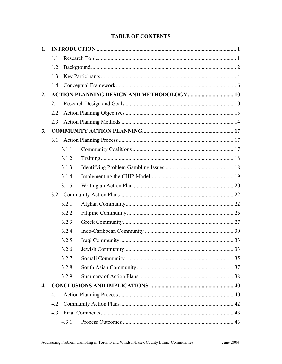## **TABLE OF CONTENTS**

| 1.                 |     |       |                                                   |  |
|--------------------|-----|-------|---------------------------------------------------|--|
|                    | 1.1 |       |                                                   |  |
|                    | 1.2 |       |                                                   |  |
|                    | 1.3 |       |                                                   |  |
|                    | 1.4 |       |                                                   |  |
| 2.                 |     |       | <b>ACTION PLANNING DESIGN AND METHODOLOGY  10</b> |  |
|                    | 2.1 |       |                                                   |  |
|                    | 2.2 |       |                                                   |  |
|                    | 2.3 |       |                                                   |  |
| 3.                 |     |       |                                                   |  |
|                    | 3.1 |       |                                                   |  |
|                    |     | 3.1.1 |                                                   |  |
|                    |     | 3.1.2 |                                                   |  |
|                    |     | 3.1.3 |                                                   |  |
|                    |     | 3.1.4 |                                                   |  |
|                    |     | 3.1.5 |                                                   |  |
|                    |     |       |                                                   |  |
|                    |     | 3.2.1 |                                                   |  |
|                    |     | 3.2.2 |                                                   |  |
|                    |     | 3.2.3 |                                                   |  |
|                    |     | 3.2.4 |                                                   |  |
|                    |     | 3.2.5 |                                                   |  |
|                    |     | 3.2.6 |                                                   |  |
|                    |     | 3.2.7 |                                                   |  |
|                    |     | 3.2.8 |                                                   |  |
|                    |     | 3.2.9 |                                                   |  |
| $\boldsymbol{4}$ . |     |       |                                                   |  |
|                    | 4.1 |       |                                                   |  |
|                    | 4.2 |       |                                                   |  |
|                    | 4.3 |       |                                                   |  |
|                    |     | 4.3.1 |                                                   |  |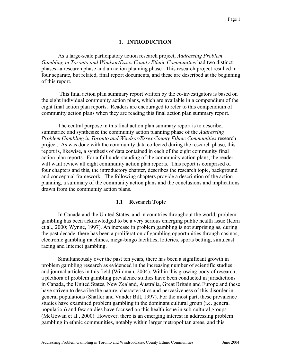#### **1. INTRODUCTION**

As a large-scale participatory action research project, *Addressing Problem Gambling in Toronto and Windsor/Essex County Ethnic Communities* had two distinct phases--a research phase and an action planning phase. This research project resulted in four separate, but related, final report documents, and these are described at the beginning of this report.

 This final action plan summary report written by the co-investigators is based on the eight individual community action plans, which are available in a compendium of the eight final action plan reports. Readers are encouraged to refer to this compendium of community action plans when they are reading this final action plan summary report.

The central purpose in this final action plan summary report is to describe, summarize and synthesize the community action planning phase of the *Addressing Problem Gambling in Toronto and Windsor/Essex County Ethnic Communities* research project. As was done with the community data collected during the research phase, this report is, likewise, a synthesis of data contained in each of the eight community final action plan reports. For a full understanding of the community action plans, the reader will want review all eight community action plan reports. This report is comprised of four chapters and this, the introductory chapter, describes the research topic, background and conceptual framework. The following chapters provide a description of the action planning, a summary of the community action plans and the conclusions and implications drawn from the community action plans.

#### **1.1 Research Topic**

In Canada and the United States, and in countries throughout the world, problem gambling has been acknowledged to be a very serious emerging public health issue (Korn et al., 2000; Wynne, 1997). An increase in problem gambling is not surprising as, during the past decade, there has been a proliferation of gambling opportunities through casinos, electronic gambling machines, mega-bingo facilities, lotteries, sports betting, simulcast racing and Internet gambling.

Simultaneously over the past ten years, there has been a significant growth in problem gambling research as evidenced in the increasing number of scientific studies and journal articles in this field (Wildman, 2004). Within this growing body of research, a plethora of problem gambling prevalence studies have been conducted in jurisdictions in Canada, the United States, New Zealand, Australia, Great Britain and Europe and these have striven to describe the nature, characteristics and pervasiveness of this disorder in general populations (Shaffer and Vander Bilt, 1997). For the most part, these prevalence studies have examined problem gambling in the dominant cultural group (i.e. general population) and few studies have focused on this health issue in sub-cultural groups (McGowan et al., 2000). However, there is an emerging interest in addressing problem gambling in ethnic communities, notably within larger metropolitan areas, and this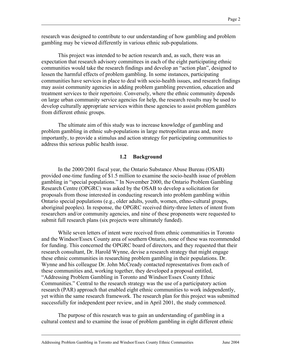research was designed to contribute to our understanding of how gambling and problem gambling may be viewed differently in various ethnic sub-populations.

This project was intended to be action research and, as such, there was an expectation that research advisory committees in each of the eight participating ethnic communities would take the research findings and develop an "action plan", designed to lessen the harmful effects of problem gambling. In some instances, participating communities have services in place to deal with socio-health issues, and research findings may assist community agencies in adding problem gambling prevention, education and treatment services to their repertoire. Conversely, where the ethnic community depends on large urban community service agencies for help, the research results may be used to develop culturally appropriate services within these agencies to assist problem gamblers from different ethnic groups.

The ultimate aim of this study was to increase knowledge of gambling and problem gambling in ethnic sub-populations in large metropolitan areas and, more importantly, to provide a stimulus and action strategy for participating communities to address this serious public health issue.

#### **1.2 Background**

In the 2000/2001 fiscal year, the Ontario Substance Abuse Bureau (OSAB) provided one-time funding of \$1.5 million to examine the socio-health issue of problem gambling in "special populations." In November 2000, the Ontario Problem Gambling Research Centre (OPGRC) was asked by the OSAB to develop a solicitation for proposals from those interested in conducting research into problem gambling within Ontario special populations (e.g., older adults, youth, women, ethno-cultural groups, aboriginal peoples). In response, the OPGRC received thirty-three letters of intent from researchers and/or community agencies, and nine of these proponents were requested to submit full research plans (six projects were ultimately funded).

While seven letters of intent were received from ethnic communities in Toronto and the Windsor/Essex County area of southern Ontario, none of these was recommended for funding. This concerned the OPGRC board of directors, and they requested that their research consultant, Dr. Harold Wynne, devise a research strategy that might engage these ethnic communities in researching problem gambling in their populations. Dr. Wynne and his colleague Dr. John McCready contacted representatives from each of these communities and, working together, they developed a proposal entitled, "Addressing Problem Gambling in Toronto and Windsor/Essex County Ethnic Communities." Central to the research strategy was the use of a participatory action research (PAR) approach that enabled eight ethnic communities to work independently, yet within the same research framework. The research plan for this project was submitted successfully for independent peer review, and in April 2001, the study commenced.

The purpose of this research was to gain an understanding of gambling in a cultural context and to examine the issue of problem gambling in eight different ethnic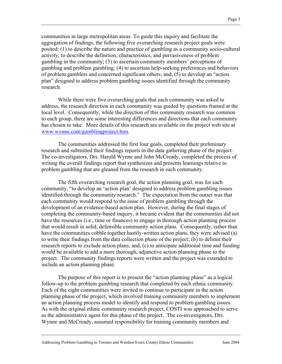communities in large metropolitan areas. To guide this inquiry and facilitate the aggregation of findings, the following five overarching research project goals were posited: (1) to describe the nature and practice of gambling as a community socio-cultural activity; to describe the definition, characteristics, and pervasiveness of problem gambling in the community; (3) to ascertain community members' perceptions of gambling and problem gambling; (4) to ascertain help-seeking preferences and behaviors of problem gamblers and concerned significant others; and, (5) to develop an "action plan" designed to address problem gambling issues identified through the community research.

While there were five overarching goals that each community was asked to address, the research direction in each community was guided by questions framed at the local level. Consequently, while the direction of this community research was common to each group, there are some interesting differences and directions that each community has chosen to take. More details of this research are available on the project web site at www.wynne.com/gamblingproject.htm.

The communities addressed the first four goals, completed their preliminary research and submitted their findings reports in the data gathering phase of the project. The co-investigators, Drs. Harold Wynne and John McCready, completed the process of writing the overall findings report that synthesizes and presents learnings relative to problem gambling that are gleaned from the research in each community.

The fifth overarching research goal, the action planning goal, was for each community, "to develop an 'action plan' designed to address problem gambling issues identified through the community research." The expectation from the outset was that each community would respond to the issue of problem gambling through the development of an evidence-based action plan. However, during the final stages of completing the community-based inquiry, it became evident that the communities did not have the resources (i.e., time or finances) to engage in thorough action planning process that would result in solid, defensible community action plans. Consequently, rather than have the communities cobble together hastily-written action plans, they were advised (a) to write their findings from the data collection phase of the project; (b) to delimit their research reports to exclude action plans; and, (c) to anticipate additional time and funding would be available to add a more thorough, adjunctive action planning phase to the project. The community findings reports were written and the project was extended to include an action planning phase.

The purpose of this report is to present the "action planning phase" as a logical follow-up to the problem gambling research that completed by each ethnic community. Each of the eight communities were invited to continue to participate in the action planning phase of the project, which involved training community members to implement an action planning process model to identify and respond to problem gambling issues. As with the original ethnic community research project, COSTI was approached to serve as the administrative agent for this phase of the project. The co-investigators, Drs. Wynne and McCready, assumed responsibility for training community members and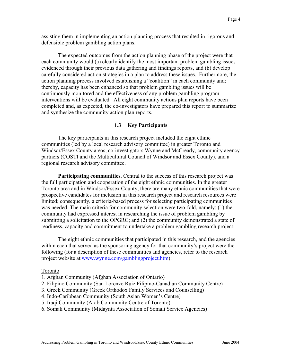assisting them in implementing an action planning process that resulted in rigorous and defensible problem gambling action plans.

The expected outcomes from the action planning phase of the project were that each community would (a) clearly identify the most important problem gambling issues evidenced through their previous data gathering and findings reports, and (b) develop carefully considered action strategies in a plan to address these issues. Furthermore, the action planning process involved establishing a "coalition" in each community and; thereby, capacity has been enhanced so that problem gambling issues will be continuously monitored and the effectiveness of any problem gambling program interventions will be evaluated. All eight community actions plan reports have been completed and, as expected, the co-investigators have prepared this report to summarize and synthesize the community action plan reports.

#### **1.3 Key Participants**

The key participants in this research project included the eight ethnic communities (led by a local research advisory committee) in greater Toronto and Windsor/Essex County areas, co-investigators Wynne and McCready, community agency partners (COSTI and the Multicultural Council of Windsor and Essex County), and a regional research advisory committee.

**Participating communities.** Central to the success of this research project was the full participation and cooperation of the eight ethnic communities. In the greater Toronto area and in Windsor/Essex County, there are many ethnic communities that were prospective candidates for inclusion in this research project and research resources were limited; consequently, a criteria-based process for selecting participating communities was needed. The main criteria for community selection were two-fold, namely: (1) the community had expressed interest in researching the issue of problem gambling by submitting a solicitation to the OPGRC; and (2) the community demonstrated a state of readiness, capacity and commitment to undertake a problem gambling research project.

The eight ethnic communities that participated in this research, and the agencies within each that served as the sponsoring agency for that community's project were the following (for a description of these communities and agencies, refer to the research project website at www.wynne.com/gamblingproject.htm):

#### Toronto

- 1. Afghan Community (Afghan Association of Ontario)
- 2. Filipino Community (San Lorenzo Ruiz Filipino-Canadian Community Centre)
- 3. Greek Community (Greek Orthodox Family Services and Counselling)
- 4. Indo-Caribbean Community (South Asian Women's Centre)
- 5. Iraqi Community (Arab Community Centre of Toronto)
- 6. Somali Community (Midaynta Association of Somali Service Agencies)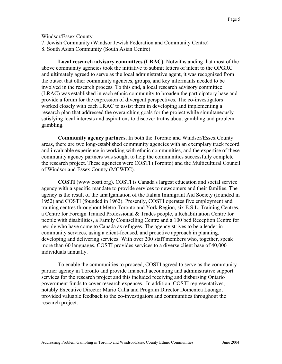Windsor/Essex County

7. Jewish Community (Windsor Jewish Federation and Community Centre) 8. South Asian Community (South Asian Centre)

**Local research advisory committees (LRAC).** Notwithstanding that most of the above community agencies took the initiative to submit letters of intent to the OPGRC and ultimately agreed to serve as the local administrative agent, it was recognized from the outset that other community agencies, groups, and key informants needed to be involved in the research process. To this end, a local research advisory committee (LRAC) was established in each ethnic community to broaden the participatory base and provide a forum for the expression of divergent perspectives. The co-investigators worked closely with each LRAC to assist them in developing and implementing a research plan that addressed the overarching goals for the project while simultaneously satisfying local interests and aspirations to discover truths about gambling and problem gambling.

**Community agency partners.** In both the Toronto and Windsor/Essex County areas, there are two long-established community agencies with an exemplary track record and invaluable experience in working with ethnic communities, and the expertise of these community agency partners was sought to help the communities successfully complete the research project. These agencies were COSTI (Toronto) and the Multicultural Council of Windsor and Essex County (MCWEC).

**COSTI** (www.costi.org). COSTI is Canada's largest education and social service agency with a specific mandate to provide services to newcomers and their families. The agency is the result of the amalgamation of the Italian Immigrant Aid Society (founded in 1952) and COSTI (founded in 1962). Presently, COSTI operates five employment and training centres throughout Metro Toronto and York Region, six E.S.L. Training Centres, a Centre for Foreign Trained Professional & Trades people, a Rehabilitation Centre for people with disabilities, a Family Counselling Centre and a 100 bed Reception Centre for people who have come to Canada as refugees. The agency strives to be a leader in community services, using a client-focused, and proactive approach in planning, developing and delivering services. With over 200 staff members who, together, speak more than 60 languages, COSTI provides services to a diverse client base of 40,000 individuals annually.

To enable the communities to proceed, COSTI agreed to serve as the community partner agency in Toronto and provide financial accounting and administrative support services for the research project and this included receiving and disbursing Ontario government funds to cover research expenses. In addition, COSTI representatives, notably Executive Director Mario Calla and Program Director Domenica Luongo, provided valuable feedback to the co-investigators and communities throughout the research project.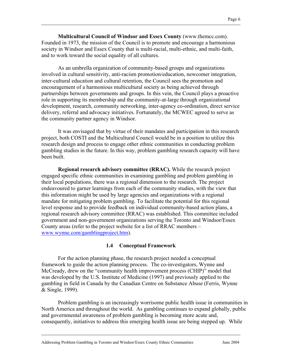**Multicultural Council of Windsor and Essex County** (www.themcc.com). Founded in 1973, the mission of the Council is to promote and encourage a harmonious society in Windsor and Essex County that is multi-racial, multi-ethnic, and multi-faith, and to work toward the social equality of all cultures.

As an umbrella organization of community-based groups and organizations involved in cultural sensitivity, anti-racism promotion/education, newcomer integration, inter-cultural education and cultural retention, the Council sees the promotion and encouragement of a harmonious multicultural society as being achieved through partnerships between governments and groups. In this vein, the Council plays a proactive role in supporting its membership and the community-at-large through organizational development, research, community networking, inter-agency co-ordination, direct service delivery, referral and advocacy initiatives. Fortunately, the MCWEC agreed to serve as the community partner agency in Windsor.

It was envisaged that by virtue of their mandates and participation in this research project, both COSTI and the Multicultural Council would be in a position to utilize this research design and process to engage other ethnic communities in conducting problem gambling studies in the future. In this way, problem gambling research capacity will have been built.

**Regional research advisory committee (RRAC).** While the research project engaged specific ethnic communities in examining gambling and problem gambling in their local populations, there was a regional dimension to the research. The project endeavoured to garner learnings from each of the community studies, with the view that this information might be used by large agencies and organizations with a regional mandate for mitigating problem gambling. To facilitate the potential for this regional level response and to provide feedback on individual community-based action plans, a regional research advisory committee (RRAC) was established. This committee included government and non-government organizations serving the Toronto and Windsor/Essex County areas (refer to the project website for a list of RRAC members – www.wynne.com/gamblingproject.htm).

#### **1.4 Conceptual Framework**

For the action planning phase, the research project needed a conceptual framework to guide the action planning process. The co-investigators, Wynne and McCready, drew on the "community health improvement process (CHIP)" model that was developed by the U.S. Institute of Medicine (1997) and previously applied to the gambling in field in Canada by the Canadian Centre on Substance Abuse (Ferris, Wynne & Single, 1999).

 Problem gambling is an increasingly worrisome public health issue in communities in North America and throughout the world. As gambling continues to expand globally, public and governmental awareness of problem gambling is becoming more acute and, consequently, initiatives to address this emerging health issue are being stepped up. While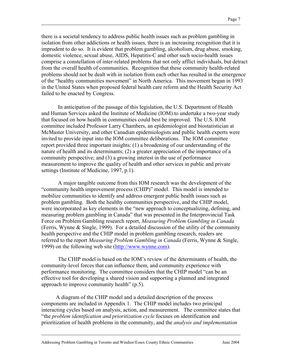there is a societal tendency to address public health issues such as problem gambling in isolation from other addictions or health issues, there is an increasing recognition that it is imprudent to do so. It is evident that problem gambling, alcoholism, drug abuse, smoking, domestic violence, sexual abuse, AIDS, Hepatitis-C and other such socio-health issues comprise a constellation of inter-related problems that not only afflict individuals, but detract from the overall health of communities. Recognition that these community health-related problems should not be dealt with in isolation from each other has resulted in the emergence of the "healthy communities movement" in North America. This movement began in 1993 in the United States when proposed federal health care reform and the Health Security Act failed to be enacted by Congress.

In anticipation of the passage of this legislation, the U.S. Department of Health and Human Services asked the Institute of Medicine (IOM) to undertake a two-year study that focused on how health in communities could best be improved. The U.S. IOM committee included Professor Larry Chambers, an epidemiologist and biostatistician at McMaster University, and other Canadian epidemiologists and public health experts were invited to provide input into the IOM committee deliberations. The IOM committee report provided three important insights: (1) a broadening of our understanding of the nature of health and its determinants; (2) a greater appreciation of the importance of a community perspective; and (3) a growing interest in the use of performance measurement to improve the quality of health and other services in public and private settings (Institute of Medicine, 1997, p.1).

A major tangible outcome from this IOM research was the development of the "community health improvement process (CHIP)" model. This model is intended to mobilize communities to identify and address emergent public health issues such as problem gambling. Both the healthy communities perspective, and the CHIP model, were incorporated as key elements in the "new approach to conceptualizing, defining, and measuring problem gambling in Canada" that was presented in the Interprovincial Task Force on Problem Gambling research report, *Measuring Problem Gambling in Canada* (Ferris, Wynne & Single, 1999). For a detailed discussion of the utility of the community health perspective and the CHIP model in problem gambling research, readers are referred to the report *Measuring Problem Gambling in Canada* (Ferris, Wynne & Single, 1999) on the following web site (http://www.wynne.com).

The CHIP model is based on the IOM's review of the determinants of health, the community-level forces that can influence them, and community experience with performance monitoring. The committee considers that the CHIP model "can be an effective tool for developing a shared vision and supporting a planned and integrated approach to improve community health" (p.5).

A diagram of the CHIP model and a detailed description of the process components are included in Appendix 1. The CHIP model includes two principal interacting cycles based on analysis, action, and measurement. The committee states that "the *problem identification and prioritization cycle* focuses on identification and prioritization of health problems in the community, and the *analysis and implementation*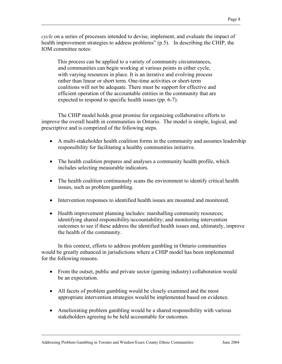*cycle* on a series of processes intended to devise, implement, and evaluate the impact of health improvement strategies to address problems" (p.5). In describing the CHIP, the IOM committee notes:

 This process can be applied to a variety of community circumstances, and communities can begin working at various points in either cycle, with varying resources in place. It is an iterative and evolving process rather than linear or short term. One-time activities or short-term coalitions will not be adequate. There must be support for effective and efficient operation of the accountable entities in the community that are expected to respond to specific health issues (pp. 6-7).

The CHIP model holds great promise for organizing collaborative efforts to improve the overall health in communities in Ontario. The model is simple, logical, and prescriptive and is comprized of the following steps.

- A multi-stakeholder health coalition forms in the community and assumes leadership responsibility for facilitating a healthy communities initiative.
- The health coalition prepares and analyses a community health profile, which includes selecting measurable indicators.
- The health coalition continuously scans the environment to identify critical health issues, such as problem gambling.
- Intervention responses to identified health issues are mounted and monitored.
- Health improvement planning includes: marshalling community resources; identifying shared responsibility/accountability; and monitoring intervention outcomes to see if these address the identified health issues and, ultimately, improve the health of the community.

In this context, efforts to address problem gambling in Ontario communities would be greatly enhanced in jurisdictions where a CHIP model has been implemented for the following reasons.

- From the outset, public and private sector (gaming industry) collaboration would be an expectation.
- All facets of problem gambling would be closely examined and the most appropriate intervention strategies would be implemented based on evidence.
- Ameliorating problem gambling would be a shared responsibility with various stakeholders agreeing to be held accountable for outcomes.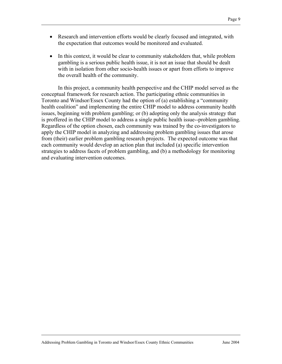- Research and intervention efforts would be clearly focused and integrated, with the expectation that outcomes would be monitored and evaluated.
- In this context, it would be clear to community stakeholders that, while problem gambling is a serious public health issue, it is not an issue that should be dealt with in isolation from other socio-health issues or apart from efforts to improve the overall health of the community.

 In this project, a community health perspective and the CHIP model served as the conceptual framework for research action. The participating ethnic communities in Toronto and Windsor/Essex County had the option of (a) establishing a "community health coalition" and implementing the entire CHIP model to address community health issues, beginning with problem gambling; or (b) adopting only the analysis strategy that is proffered in the CHIP model to address a single public health issue--problem gambling. Regardless of the option chosen, each community was trained by the co-investigators to apply the CHIP model in analyzing and addressing problem gambling issues that arose from (their) earlier problem gambling research projects. The expected outcome was that each community would develop an action plan that included (a) specific intervention strategies to address facets of problem gambling, and (b) a methodology for monitoring and evaluating intervention outcomes.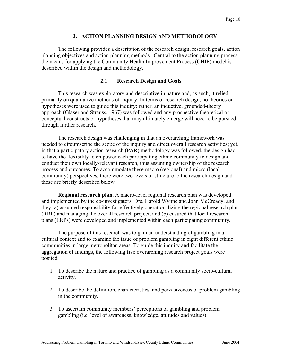#### **2. ACTION PLANNING DESIGN AND METHODOLOGY**

The following provides a description of the research design, research goals, action planning objectives and action planning methods. Central to the action planning process, the means for applying the Community Health Improvement Process (CHIP) model is described within the design and methodology.

#### **2.1 Research Design and Goals**

This research was exploratory and descriptive in nature and, as such, it relied primarily on qualitative methods of inquiry. In terms of research design, no theories or hypotheses were used to guide this inquiry; rather, an inductive, grounded-theory approach (Glaser and Strauss, 1967) was followed and any prospective theoretical or conceptual constructs or hypotheses that may ultimately emerge will need to be pursued through further research.

The research design was challenging in that an overarching framework was needed to circumscribe the scope of the inquiry and direct overall research activities; yet, in that a participatory action research (PAR) methodology was followed, the design had to have the flexibility to empower each participating ethnic community to design and conduct their own locally-relevant research, thus assuming ownership of the research process and outcomes. To accommodate these macro (regional) and micro (local community) perspectives, there were two levels of structure to the research design and these are briefly described below.

**Regional research plan.** A macro-level regional research plan was developed and implemented by the co-investigators, Drs. Harold Wynne and John McCready, and they (a) assumed responsibility for effectively operationalizing the regional research plan (RRP) and managing the overall research project, and (b) ensured that local research plans (LRPs) were developed and implemented within each participating community.

The purpose of this research was to gain an understanding of gambling in a cultural context and to examine the issue of problem gambling in eight different ethnic communities in large metropolitan areas. To guide this inquiry and facilitate the aggregation of findings, the following five overarching research project goals were posited.

- 1. To describe the nature and practice of gambling as a community socio-cultural activity.
- 2. To describe the definition, characteristics, and pervasiveness of problem gambling in the community.
- 3. To ascertain community members' perceptions of gambling and problem gambling (i.e. level of awareness, knowledge, attitudes and values).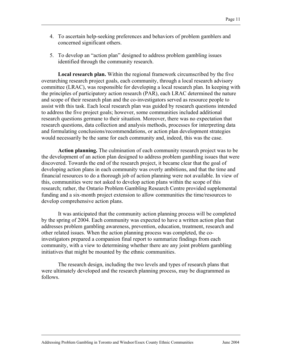- 4. To ascertain help-seeking preferences and behaviors of problem gamblers and concerned significant others.
- 5. To develop an "action plan" designed to address problem gambling issues identified through the community research.

**Local research plan.** Within the regional framework circumscribed by the five overarching research project goals, each community, through a local research advisory committee (LRAC), was responsible for developing a local research plan. In keeping with the principles of participatory action research (PAR), each LRAC determined the nature and scope of their research plan and the co-investigators served as resource people to assist with this task. Each local research plan was guided by research questions intended to address the five project goals; however, some communities included additional research questions germane to their situation. Moreover, there was no expectation that research questions, data collection and analysis methods, processes for interpreting data and formulating conclusions/recommendations, or action plan development strategies would necessarily be the same for each community and, indeed, this was the case.

**Action planning.** The culmination of each community research project was to be the development of an action plan designed to address problem gambling issues that were discovered. Towards the end of the research project, it became clear that the goal of developing action plans in each community was overly ambitions, and that the time and financial resources to do a thorough job of action planning were not available. In view of this, communities were not asked to develop action plans within the scope of this research; rather, the Ontario Problem Gambling Research Centre provided supplemental funding and a six-month project extension to allow communities the time/resources to develop comprehensive action plans.

It was anticipated that the community action planning process will be completed by the spring of 2004. Each community was expected to have a written action plan that addresses problem gambling awareness, prevention, education, treatment, research and other related issues. When the action planning process was completed, the coinvestigators prepared a companion final report to summarize findings from each community, with a view to determining whether there are any joint problem gambling initiatives that might be mounted by the ethnic communities.

The research design, including the two levels and types of research plans that were ultimately developed and the research planning process, may be diagrammed as follows.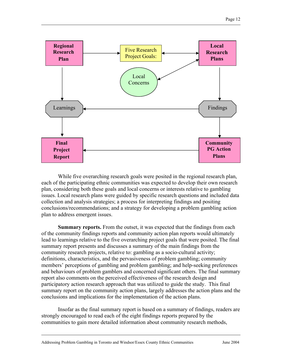

While five overarching research goals were posited in the regional research plan, each of the participating ethnic communities was expected to develop their own research plan, considering both these goals and local concerns or interests relative to gambling issues. Local research plans were guided by specific research questions and included data collection and analysis strategies; a process for interpreting findings and positing conclusions/recommendations; and a strategy for developing a problem gambling action plan to address emergent issues.

**Summary reports.** From the outset, it was expected that the findings from each of the community findings reports and community action plan reports would ultimately lead to learnings relative to the five overarching project goals that were posited. The final summary report presents and discusses a summary of the main findings from the community research projects, relative to: gambling as a socio-cultural activity; definitions, characteristics, and the pervasiveness of problem gambling; community members' perceptions of gambling and problem gambling; and help-seeking preferences and behaviours of problem gamblers and concerned significant others. The final summary report also comments on the perceived effectiveness of the research design and participatory action research approach that was utilized to guide the study. This final summary report on the community action plans, largely addresses the action plans and the conclusions and implications for the implementation of the action plans.

Insofar as the final summary report is based on a summary of findings, readers are strongly encouraged to read each of the eight findings reports prepared by the communities to gain more detailed information about community research methods,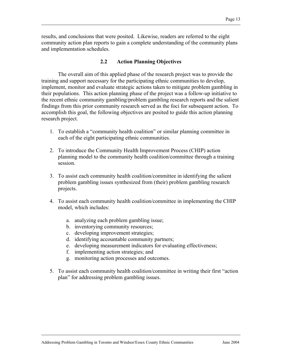results, and conclusions that were posited. Likewise, readers are referred to the eight community action plan reports to gain a complete understanding of the community plans and implementation schedules.

#### **2.2 Action Planning Objectives**

The overall aim of this applied phase of the research project was to provide the training and support necessary for the participating ethnic communities to develop, implement, monitor and evaluate strategic actions taken to mitigate problem gambling in their populations. This action planning phase of the project was a follow-up initiative to the recent ethnic community gambling/problem gambling research reports and the salient findings from this prior community research served as the foci for subsequent action. To accomplish this goal, the following objectives are posited to guide this action planning research project.

- 1. To establish a "community health coalition" or similar planning committee in each of the eight participating ethnic communities.
- 2. To introduce the Community Health Improvement Process (CHIP) action planning model to the community health coalition/committee through a training session.
- 3. To assist each community health coalition/committee in identifying the salient problem gambling issues synthesized from (their) problem gambling research projects.
- 4. To assist each community health coalition/committee in implementing the CHIP model, which includes:
	- a. analyzing each problem gambling issue;
	- b. inventorying community resources;
	- c. developing improvement strategies;
	- d. identifying accountable community partners;
	- e. developing measurement indicators for evaluating effectiveness;
	- f. implementing action strategies; and
	- g. monitoring action processes and outcomes.
- 5. To assist each community health coalition/committee in writing their first "action plan" for addressing problem gambling issues.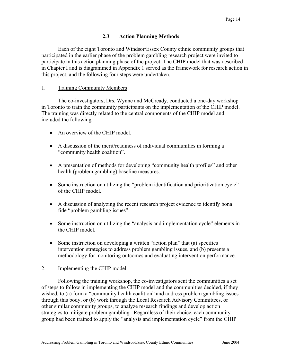## **2.3 Action Planning Methods**

 Each of the eight Toronto and Windsor/Essex County ethnic community groups that participated in the earlier phase of the problem gambling research project were invited to participate in this action planning phase of the project. The CHIP model that was described in Chapter I and is diagrammed in Appendix 1 served as the framework for research action in this project, and the following four steps were undertaken.

#### 1. Training Community Members

The co-investigators, Drs. Wynne and McCready, conducted a one-day workshop in Toronto to train the community participants on the implementation of the CHIP model. The training was directly related to the central components of the CHIP model and included the following.

- An overview of the CHIP model
- A discussion of the merit/readiness of individual communities in forming a "community health coalition".
- A presentation of methods for developing "community health profiles" and other health (problem gambling) baseline measures.
- Some instruction on utilizing the "problem identification and prioritization cycle" of the CHIP model.
- A discussion of analyzing the recent research project evidence to identify bona fide "problem gambling issues".
- Some instruction on utilizing the "analysis and implementation cycle" elements in the CHIP model.
- Some instruction on developing a written "action plan" that (a) specifies intervention strategies to address problem gambling issues, and (b) presents a methodology for monitoring outcomes and evaluating intervention performance.

#### 2. Implementing the CHIP model

Following the training workshop, the co-investigators sent the communities a set of steps to follow in implementing the CHIP model and the communities decided, if they wished, to (a) form a "community health coalition" and address problem gambling issues through this body, or (b) work through the Local Research Advisory Committees, or other similar community groups, to analyze research findings and develop action strategies to mitigate problem gambling. Regardless of their choice, each community group had been trained to apply the "analysis and implementation cycle" from the CHIP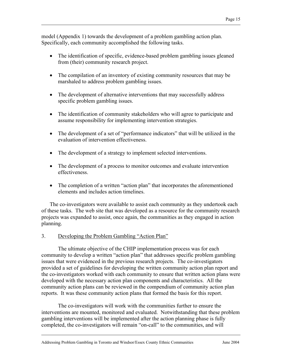model (Appendix 1) towards the development of a problem gambling action plan. Specifically, each community accomplished the following tasks.

- The identification of specific, evidence-based problem gambling issues gleaned from (their) community research project.
- The compilation of an inventory of existing community resources that may be marshaled to address problem gambling issues.
- The development of alternative interventions that may successfully address specific problem gambling issues.
- The identification of community stakeholders who will agree to participate and assume responsibility for implementing intervention strategies.
- The development of a set of "performance indicators" that will be utilized in the evaluation of intervention effectiveness.
- The development of a strategy to implement selected interventions.
- The development of a process to monitor outcomes and evaluate intervention effectiveness.
- The completion of a written "action plan" that incorporates the aforementioned elements and includes action timelines.

The co-investigators were available to assist each community as they undertook each of these tasks. The web site that was developed as a resource for the community research projects was expanded to assist, once again, the communities as they engaged in action planning.

#### 3. Developing the Problem Gambling "Action Plan"

The ultimate objective of the CHIP implementation process was for each community to develop a written "action plan" that addresses specific problem gambling issues that were evidenced in the previous research projects. The co-investigators provided a set of guidelines for developing the written community action plan report and the co-investigators worked with each community to ensure that written action plans were developed with the necessary action plan components and characteristics. All the community action plans can be reviewed in the compendium of community action plan reports. It was these community action plans that formed the basis for this report.

The co-investigators will work with the communities further to ensure the interventions are mounted, monitored and evaluated. Notwithstanding that these problem gambling interventions will be implemented after the action planning phase is fully completed, the co-investigators will remain "on-call" to the communities, and will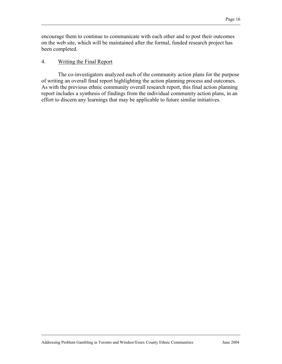encourage them to continue to communicate with each other and to post their outcomes on the web site, which will be maintained after the formal, funded research project has been completed.

#### 4. Writing the Final Report

The co-investigators analyzed each of the community action plans for the purpose of writing an overall final report highlighting the action planning process and outcomes. As with the previous ethnic community overall research report, this final action planning report includes a synthesis of findings from the individual community action plans, in an effort to discern any learnings that may be applicable to future similar initiatives.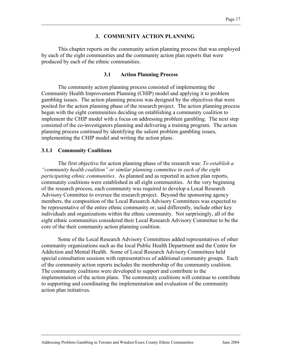#### **3. COMMUNITY ACTION PLANNING**

This chapter reports on the community action planning process that was employed by each of the eight communities and the community action plan reports that were produced by each of the ethnic communities.

#### **3.1 Action Planning Process**

The community action planning process consisted of implementing the Community Health Improvement Planning (CHIP) model and applying it to problem gambling issues. The action planning process was designed by the objectives that were posited for the action planning phase of the research project. The action planning process began with the eight communities deciding on establishing a community coalition to implement the CHIP model with a focus on addressing problem gambling. The next step consisted of the co-investigators planning and delivering a training program. The action planning process continued by identifying the salient problem gambling issues, implementing the CHIP model and writing the action plans.

#### **3.1.1 Community Coalitions**

The first objective for action planning phase of the research was: *To establish a "community health coalition" or similar planning committee in each of the eight participating ethnic communities*. As planned and as reported in action plan reports, community coalitions were established in all eight communities. At the very beginning of the research process, each community was required to develop a Local Research Advisory Committee to oversee the research project. Beyond the sponsoring agency members, the composition of the Local Research Advisory Committees was expected to be representative of the entire ethnic community or, said differently, include other key individuals and organizations within the ethnic community. Not surprisingly, all of the eight ethnic communities considered their Local Research Advisory Committee to be the core of the their community action planning coalition.

Some of the Local Research Advisory Committees added representatives of other community organizations such as the local Public Health Department and the Centre for Addiction and Mental Health. Some of Local Research Advisory Committees held special consultation sessions with representatives of additional community groups. Each of the community action reports includes the membership of the community coalition. The community coalitions were developed to support and contribute to the implementation of the action plans. The community coalitions will continue to contribute to supporting and coordinating the implementation and evaluation of the community action plan initiatives.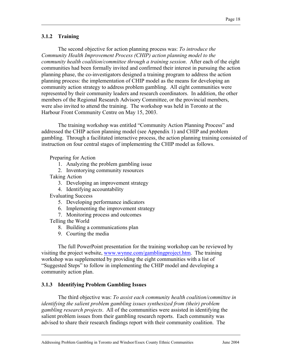## **3.1.2 Training**

The second objective for action planning process was: *To introduce the Community Health Improvement Process (CHIP) action planning model to the community health coalition/committee through a training session*. After each of the eight communities had been formally invited and confirmed their interest in pursuing the action planning phase, the co-investigators designed a training program to address the action planning process: the implementation of CHIP model as the means for developing an community action strategy to address problem gambling. All eight communities were represented by their community leaders and research coordinators. In addition, the other members of the Regional Research Advisory Committee, or the provincial members, were also invited to attend the training. The workshop was held in Toronto at the Harbour Front Community Centre on May 15, 2003.

 The training workshop was entitled "Community Action Planning Process" and addressed the CHIP action planning model (see Appendix 1) and CHIP and problem gambling. Through a facilitated interactive process, the action planning training consisted of instruction on four central stages of implementing the CHIP model as follows.

Preparing for Action

1. Analyzing the problem gambling issue

2. Inventorying community resources

Taking Action

- 3. Developing an improvement strategy
- 4. Identifying accountability

Evaluating Success

- 5. Developing performance indicators
- 6. Implementing the improvement strategy

7. Monitoring process and outcomes

Telling the World

- 8. Building a communications plan
- 9. Courting the media

The full PowerPoint presentation for the training workshop can be reviewed by visiting the project website, www.wynne.com/gamblingproject.htm. The training workshop was supplemented by providing the eight communities with a list of "Suggested Steps" to follow in implementing the CHIP model and developing a community action plan.

#### **3.1.3 Identifying Problem Gambling Issues**

The third objective was: *To assist each community health coalition/committee in identifying the salient problem gambling issues synthesized from (their) problem gambling research projects*. All of the communities were assisted in identifying the salient problem issues from their gambling research reports. Each community was advised to share their research findings report with their community coalition. The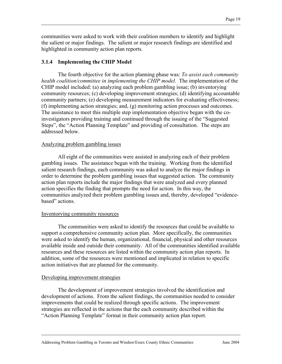communities were asked to work with their coalition members to identify and highlight the salient or major findings. The salient or major research findings are identified and highlighted in community action plan reports.

## **3.1.4 Implementing the CHIP Model**

The fourth objective for the action planning phase was: *To assist each community health coalition/committee in implementing the CHIP model*. The implementation of the CHIP model included: (a) analyzing each problem gambling issue; (b) inventorying community resources; (c) developing improvement strategies; (d) identifying accountable community partners; (e) developing measurement indicators for evaluating effectiveness; (f) implementing action strategies; and, (g) monitoring action processes and outcomes. The assistance to meet this multiple step implementation objective began with the coinvestigators providing training and continued through the issuing of the "Suggested Steps", the "Action Planning Template" and providing of consultation. The steps are addressed below.

#### Analyzing problem gambling issues

All eight of the communities were assisted in analyzing each of their problem gambling issues. The assistance began with the training. Working from the identified salient research findings, each community was asked to analyze the major findings in order to determine the problem gambling issues that suggested action. The community action plan reports include the major findings that were analyzed and every planned action specifies the finding that prompts the need for action. In this way, the communities analyzed their problem gambling issues and, thereby, developed "evidencebased" actions.

#### Inventorying community resources

The communities were asked to identify the resources that could be available to support a comprehensive community action plan. More specifically, the communities were asked to identify the human, organizational, financial, physical and other resources available inside and outside their community. All of the communities identified available resources and these resources are listed within the community action plan reports. In addition, some of the resources were mentioned and implicated in relation to specific action initiatives that are planned for the community.

#### Developing improvement strategies

The development of improvement strategies involved the identification and development of actions. From the salient findings, the communities needed to consider improvements that could be realized through specific actions. The improvement strategies are reflected in the actions that the each community described within the "Action Planning Template" format in their community action plan report.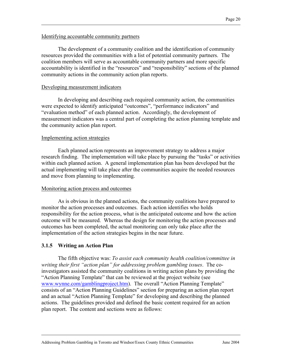#### Identifying accountable community partners

The development of a community coalition and the identification of community resources provided the communities with a list of potential community partners. The coalition members will serve as accountable community partners and more specific accountability is identified in the "resources" and "responsibility" sections of the planned community actions in the community action plan reports.

#### Developing measurement indicators

In developing and describing each required community action, the communities were expected to identify anticipated "outcomes", "performance indicators" and "evaluation method" of each planned action. Accordingly, the development of measurement indicators was a central part of completing the action planning template and the community action plan report.

#### Implementing action strategies

Each planned action represents an improvement strategy to address a major research finding. The implementation will take place by pursuing the "tasks" or activities within each planned action. A general implementation plan has been developed but the actual implementing will take place after the communities acquire the needed resources and move from planning to implementing.

#### Monitoring action process and outcomes

As is obvious in the planned actions, the community coalitions have prepared to monitor the action processes and outcomes. Each action identifies who holds responsibility for the action process, what is the anticipated outcome and how the action outcome will be measured. Whereas the design for monitoring the action processes and outcomes has been completed, the actual monitoring can only take place after the implementation of the action strategies begins in the near future.

#### **3.1.5 Writing an Action Plan**

The fifth objective was: *To assist each community health coalition/committee in writing their first "action plan" for addressing problem gambling issues*. The coinvestigators assisted the community coalitions in writing action plans by providing the "Action Planning Template" that can be reviewed at the project website (see www.wynne.com/gamblingproject.htm). The overall "Action Planning Template" consists of an "Action Planning Guidelines" section for preparing an action plan report and an actual "Action Planning Template" for developing and describing the planned actions. The guidelines provided and defined the basic content required for an action plan report. The content and sections were as follows: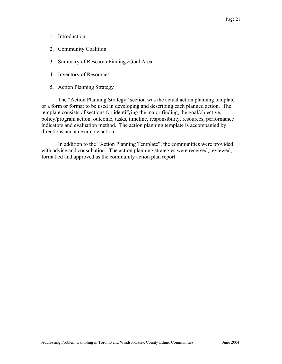- 1. Introduction
- 2. Community Coalition
- 3. Summary of Research Findings/Goal Area
- 4. Inventory of Resources
- 5. Action Planning Strategy

The "Action Planning Strategy" section was the actual action planning template or a form or format to be used in developing and describing each planned action. The template consists of sections for identifying the major finding, the goal/objective, policy/program action, outcome, tasks, timeline, responsibility, resources, performance indicators and evaluation method. The action planning template is accompanied by directions and an example action.

In addition to the "Action Planning Template", the communities were provided with advice and consultation. The action planning strategies were received, reviewed, formatted and approved as the community action plan report.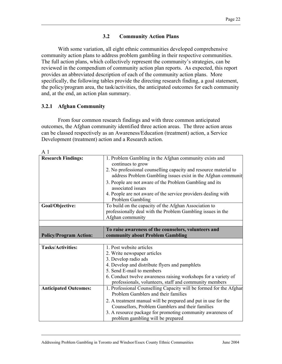#### **3.2 Community Action Plans**

With some variation, all eight ethnic communities developed comprehensive community action plans to address problem gambling in their respective communities. The full action plans, which collectively represent the community's strategies, can be reviewed in the compendium of community action plan reports. As expected, this report provides an abbreviated description of each of the community action plans. More specifically, the following tables provide the directing research finding, a goal statement, the policy/program area, the task/activities, the anticipated outcomes for each community and, at the end, an action plan summary.

#### **3.2.1 Afghan Community**

From four common research findings and with three common anticipated outcomes, the Afghan community identified three action areas. The three action areas can be classed respectively as an Awareness/Education (treatment) action, a Service Development (treatment) action and a Research action.

| Αl                            |                                                                                                                                                                                                                                                                                                                                                                                      |
|-------------------------------|--------------------------------------------------------------------------------------------------------------------------------------------------------------------------------------------------------------------------------------------------------------------------------------------------------------------------------------------------------------------------------------|
| <b>Research Findings:</b>     | 1. Problem Gambling in the Afghan community exists and<br>continues to grow<br>2. No professional counselling capacity and resource material to<br>address Problem Gambling issues exist in the Afghan communit<br>3. People are not aware of the Problem Gambling and its<br>associated issues<br>4. People are not aware of the service providers dealing with<br>Problem Gambling |
| Goal/Objective:               | To build on the capacity of the Afghan Association to<br>professionally deal with the Problem Gambling issues in the<br>Afghan community                                                                                                                                                                                                                                             |
|                               |                                                                                                                                                                                                                                                                                                                                                                                      |
|                               | To raise awareness of the counselors, volunteers and                                                                                                                                                                                                                                                                                                                                 |
| <b>Policy/Program Action:</b> | community about Problem Gambling                                                                                                                                                                                                                                                                                                                                                     |
|                               |                                                                                                                                                                                                                                                                                                                                                                                      |
| <b>Tasks/Activities:</b>      | 1. Post website articles                                                                                                                                                                                                                                                                                                                                                             |
|                               | 2. Write newspaper articles                                                                                                                                                                                                                                                                                                                                                          |
|                               | 3. Develop radio ads                                                                                                                                                                                                                                                                                                                                                                 |
|                               | 4. Develop and distribute flyers and pamphlets                                                                                                                                                                                                                                                                                                                                       |
|                               | 5. Send E-mail to members                                                                                                                                                                                                                                                                                                                                                            |
|                               | 6. Conduct twelve awareness raising workshops for a variety of<br>professionals, volunteers, staff and community members                                                                                                                                                                                                                                                             |
| <b>Anticipated Outcomes:</b>  | 1. Professional Counselling Capacity will be formed for the Afghan<br>Problem Gamblers and their families                                                                                                                                                                                                                                                                            |
|                               | 2. A treatment manual will be prepared and put in use for the<br>Counsellors, Problem Gamblers and their families<br>3. A resource package for promoting community awareness of<br>problem gambling will be prepared                                                                                                                                                                 |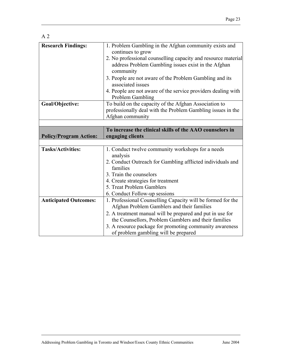| <b>Research Findings:</b>     | 1. Problem Gambling in the Afghan community exists and<br>continues to grow                               |
|-------------------------------|-----------------------------------------------------------------------------------------------------------|
|                               | 2. No professional counselling capacity and resource material                                             |
|                               | address Problem Gambling issues exist in the Afghan<br>community                                          |
|                               | 3. People are not aware of the Problem Gambling and its<br>associated issues                              |
|                               | 4. People are not aware of the service providers dealing with<br>Problem Gambling                         |
| Goal/Objective:               | To build on the capacity of the Afghan Association to                                                     |
|                               | professionally deal with the Problem Gambling issues in the                                               |
|                               | Afghan community                                                                                          |
|                               |                                                                                                           |
|                               | To increase the clinical skills of the AAO counselors in                                                  |
| <b>Policy/Program Action:</b> | engaging clients                                                                                          |
|                               |                                                                                                           |
| <b>Tasks/Activities:</b>      | 1. Conduct twelve community workshops for a needs<br>analysis                                             |
|                               | 2. Conduct Outreach for Gambling afflicted individuals and<br>families                                    |
|                               | 3. Train the counselors                                                                                   |
|                               | 4. Create strategies for treatment                                                                        |
|                               | 5. Treat Problem Gamblers                                                                                 |
|                               | 6. Conduct Follow-up sessions                                                                             |
| <b>Anticipated Outcomes:</b>  | 1. Professional Counselling Capacity will be formed for the<br>Afghan Problem Gamblers and their families |
|                               | 2. A treatment manual will be prepared and put in use for                                                 |
|                               | the Counsellors, Problem Gamblers and their families                                                      |
|                               | 3. A resource package for promoting community awareness                                                   |
|                               | of problem gambling will be prepared                                                                      |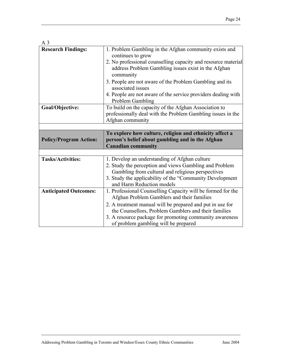#### A 3

| <b>Research Findings:</b>     | 1. Problem Gambling in the Afghan community exists and<br>continues to grow<br>2. No professional counselling capacity and resource material<br>address Problem Gambling issues exist in the Afghan<br>community<br>3. People are not aware of the Problem Gambling and its<br>associated issues<br>4. People are not aware of the service providers dealing with<br>Problem Gambling |
|-------------------------------|---------------------------------------------------------------------------------------------------------------------------------------------------------------------------------------------------------------------------------------------------------------------------------------------------------------------------------------------------------------------------------------|
| Goal/Objective:               | To build on the capacity of the Afghan Association to<br>professionally deal with the Problem Gambling issues in the<br>Afghan community                                                                                                                                                                                                                                              |
|                               |                                                                                                                                                                                                                                                                                                                                                                                       |
|                               | To explore how culture, religion and ethnicity affect a                                                                                                                                                                                                                                                                                                                               |
| <b>Policy/Program Action:</b> | person's belief about gambling and in the Afghan                                                                                                                                                                                                                                                                                                                                      |
|                               | <b>Canadian community</b>                                                                                                                                                                                                                                                                                                                                                             |
|                               |                                                                                                                                                                                                                                                                                                                                                                                       |
| <b>Tasks/Activities:</b>      | 1. Develop an understanding of Afghan culture<br>2. Study the perception and views Gambling and Problem<br>Gambling from cultural and religious perspectives<br>3. Study the applicability of the "Community Development"<br>and Harm Reduction models                                                                                                                                |
| <b>Anticipated Outcomes:</b>  | 1. Professional Counselling Capacity will be formed for the<br>Afghan Problem Gamblers and their families                                                                                                                                                                                                                                                                             |
|                               | 2. A treatment manual will be prepared and put in use for<br>the Counsellors, Problem Gamblers and their families                                                                                                                                                                                                                                                                     |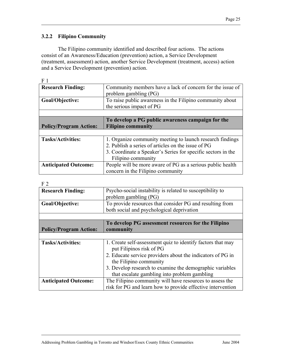## **3.2.2 Filipino Community**

The Filipino community identified and described four actions. The actions consist of an Awareness/Education (prevention) action, a Service Development (treatment, assessment) action, another Service Development (treatment, access) action and a Service Development (prevention) action.

| <b>Research Finding:</b>      | Community members have a lack of concern for the issue of<br>problem gambling (PG) |
|-------------------------------|------------------------------------------------------------------------------------|
| Goal/Objective:               | To raise public awareness in the Filipino community about                          |
|                               | the serious impact of PG                                                           |
|                               | To develop a PG public awareness campaign for the                                  |
| <b>Policy/Program Action:</b> | <b>Filipino community</b>                                                          |
|                               |                                                                                    |
| <b>Tasks/Activities:</b>      | 1. Organize community meeting to launch research findings                          |
|                               | 2. Publish a series of articles on the issue of PG                                 |
|                               | 3. Coordinate a Speaker's Series for specific sectors in the                       |
|                               | Filipino community                                                                 |
| <b>Anticipated Outcome:</b>   | People will be more aware of PG as a serious public health                         |
|                               | concern in the Filipino community                                                  |

F 2

| <b>Research Finding:</b>      | Psycho-social instability is related to susceptibility to   |
|-------------------------------|-------------------------------------------------------------|
|                               | problem gambling (PG)                                       |
|                               |                                                             |
| Goal/Objective:               | To provide resources that consider PG and resulting from    |
|                               | both social and psychological deprivation                   |
|                               |                                                             |
|                               | To develop PG assessment resources for the Filipino         |
| <b>Policy/Program Action:</b> | community                                                   |
|                               |                                                             |
| <b>Tasks/Activities:</b>      | 1. Create self-assessment quiz to identify factors that may |
|                               | put Filipinos risk of PG                                    |
|                               | 2. Educate service providers about the indicators of PG in  |
|                               | the Filipino community                                      |
|                               | 3. Develop research to examine the demographic variables    |
|                               | that escalate gambling into problem gambling                |
| <b>Anticipated Outcome:</b>   | The Filipino community will have resources to assess the    |
|                               | risk for PG and learn how to provide effective intervention |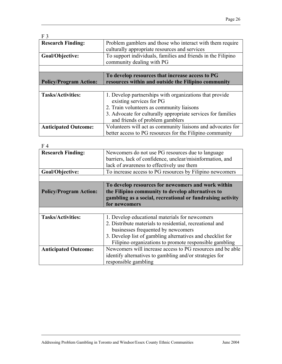| F <sub>3</sub>                |                                                              |
|-------------------------------|--------------------------------------------------------------|
| <b>Research Finding:</b>      | Problem gamblers and those who interact with them require    |
|                               | culturally appropriate resources and services                |
| Goal/Objective:               | To support individuals, families and friends in the Filipino |
|                               | community dealing with PG                                    |
|                               |                                                              |
|                               | To develop resources that increase access to PG              |
| <b>Policy/Program Action:</b> | resources within and outside the Filipino community          |
|                               |                                                              |
| <b>Tasks/Activities:</b>      | 1. Develop partnerships with organizations that provide      |
|                               | existing services for PG                                     |
|                               | 2. Train volunteers as community liaisons                    |
|                               |                                                              |
|                               | 3. Advocate for culturally appropriate services for families |
|                               | and friends of problem gamblers                              |
| <b>Anticipated Outcome:</b>   | Volunteers will act as community liaisons and advocates for  |

| F 4                           |                                                            |
|-------------------------------|------------------------------------------------------------|
| <b>Research Finding:</b>      | Newcomers do not use PG resources due to language          |
|                               | barriers, lack of confidence, unclear/misinformation, and  |
|                               | lack of awareness to effectively use them                  |
| Goal/Objective:               | To increase access to PG resources by Filipino newcomers   |
|                               |                                                            |
|                               | To develop resources for newcomers and work within         |
| <b>Policy/Program Action:</b> | the Filipino community to develop alternatives to          |
|                               | gambling as a social, recreational or fundraising activity |
|                               | for newcomers                                              |
|                               |                                                            |
| <b>Tasks/Activities:</b>      | 1. Develop educational materials for newcomers             |
|                               | 2. Distribute materials to residential, recreational and   |
|                               | businesses frequented by newcomers                         |
|                               | 3. Develop list of gambling alternatives and checklist for |
|                               | Filipino organizations to promote responsible gambling     |
| <b>Anticipated Outcome:</b>   | Newcomers will increase access to PG resources and be able |
|                               | identify alternatives to gambling and/or strategies for    |
|                               | responsible gambling                                       |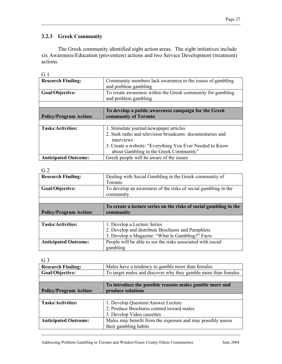## **3.2.3 Greek Community**

The Greek community identified eight action areas. The eight initiatives include six Awareness/Education (prevention) actions and two Service Development (treatment) actions.

| ٠  |  |
|----|--|
| ۰, |  |

| <b>Research Finding:</b>      | Community members lack awareness to the issues of gambling               |
|-------------------------------|--------------------------------------------------------------------------|
|                               | and problem gambling                                                     |
|                               |                                                                          |
| Goal/Objective:               | To create awareness within the Greek community for gambling              |
|                               |                                                                          |
|                               | and problem gambling                                                     |
|                               |                                                                          |
|                               | To develop a public awareness campaign for the Greek                     |
| <b>Policy/Program Action:</b> | community of Toronto                                                     |
|                               |                                                                          |
|                               |                                                                          |
| <b>Tasks/Activities:</b>      | 1. Stimulate journal/newspaper articles                                  |
|                               |                                                                          |
|                               | 2. Seek radio and television broadcasts: documentaries and<br>interviews |
|                               |                                                                          |
|                               | 3. Create a website: "Everything You Ever Needed to Know                 |
|                               | about Gambling in the Greek Community"                                   |

#### $\Omega$

| UL Z                          |                                                                   |
|-------------------------------|-------------------------------------------------------------------|
| <b>Research Finding:</b>      | Dealing with Social Gambling in the Greek community of            |
|                               | Toronto                                                           |
| Goal/Objective:               | To develop an awareness of the risks of social gambling in the    |
|                               | community                                                         |
|                               |                                                                   |
|                               | To create a lecture series on the risks of social gambling in the |
| <b>Policy/Program Action:</b> | community                                                         |
|                               |                                                                   |
|                               |                                                                   |
| <b>Tasks/Activities:</b>      | 1. Develop a Lecture Series                                       |
|                               | 2. Develop and distribute Brochures and Pamphlets                 |
|                               | 3. Develop a Magazine: "What Is Gambling?" Facts                  |
| <b>Anticipated Outcome:</b>   | People will be able to see the risks associated with social       |

G 3

| <b>Research Finding:</b>      | Males have a tendency to gamble more than females              |
|-------------------------------|----------------------------------------------------------------|
| Goal/Objective:               | To target males and discover why they gamble more than females |
|                               |                                                                |
|                               | To introduce the possible reasons males gamble more and        |
| <b>Policy/Program Action:</b> | produce solutions                                              |
|                               |                                                                |
| <b>Tasks/Activities:</b>      | 1. Develop Question/Answer Lecture                             |
|                               | 2. Produce Brochures centred toward males                      |
|                               | 3. Develop Video cassettes                                     |
| <b>Anticipated Outcome:</b>   | Males may benefit from the exposure and may possibly assess    |
|                               | their gambling habits                                          |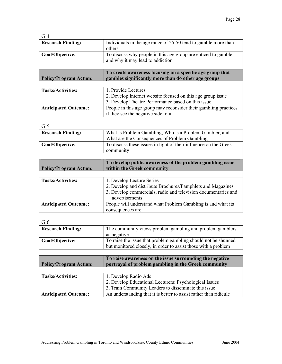| G <sub>4</sub>                |                                                                          |
|-------------------------------|--------------------------------------------------------------------------|
| <b>Research Finding:</b>      | Individuals in the age range of 25-50 tend to gamble more than<br>others |
|                               |                                                                          |
| Goal/Objective:               | To discuss why people in this age group are enticed to gamble            |
|                               | and why it may lead to addiction                                         |
|                               |                                                                          |
|                               | To create awareness focusing on a specific age group that                |
|                               |                                                                          |
| <b>Policy/Program Action:</b> | gambles significantly more than do other age groups                      |
|                               |                                                                          |
| <b>Tasks/Activities:</b>      | 1. Provide Lectures                                                      |
|                               | 2. Develop Internet website focused on this age group issue              |
|                               | 3. Develop Theatre Performance based on this issue                       |
| <b>Anticipated Outcome:</b>   | People in this age group may reconsider their gambling practices         |

| ×<br>۰,<br>., | ×<br>۰.<br>۰.<br>- |
|---------------|--------------------|
|               |                    |

| What is Problem Gambling, Who is a Problem Gambler, and          |
|------------------------------------------------------------------|
| What are the Consequences of Problem Gambling                    |
| To discuss these issues in light of their influence on the Greek |
| community                                                        |
|                                                                  |
| To develop public awareness of the problem gambling issue        |
| within the Greek community                                       |
|                                                                  |
| 1. Develop Lecture Series                                        |
| 2. Develop and distribute Brochures/Pamphlets and Magazines      |
| 3. Develop commercials, radio and television documentaries and   |
| advertisements                                                   |
| People will understand what Problem Gambling is and what its     |
| consequences are                                                 |
|                                                                  |

 $G<sub>6</sub>$ 

| <b>Research Finding:</b>      | The community views problem gambling and problem gamblers      |
|-------------------------------|----------------------------------------------------------------|
|                               | as negative                                                    |
| Goal/Objective:               | To raise the issue that problem gambling should not be shunned |
|                               | but monitored closely, in order to assist those with a problem |
|                               |                                                                |
|                               | To raise awareness on the issue surrounding the negative       |
| <b>Policy/Program Action:</b> |                                                                |
|                               | portrayal of problem gambling in the Greek community           |
|                               |                                                                |
| <b>Tasks/Activities:</b>      | 1. Develop Radio Ads                                           |
|                               | 2. Develop Educational Lecturers: Psychological Issues         |
|                               | 3. Train Community Leaders to disseminate this issue           |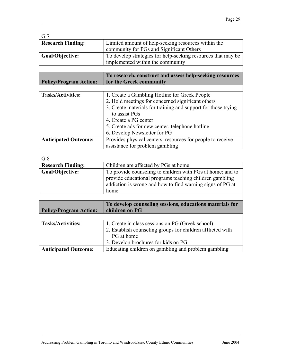| G <sub>7</sub>                |                                                               |
|-------------------------------|---------------------------------------------------------------|
| <b>Research Finding:</b>      | Limited amount of help-seeking resources within the           |
|                               | community for PGs and Significant Others                      |
| Goal/Objective:               | To develop strategies for help-seeking resources that may be  |
|                               | implemented within the community                              |
|                               |                                                               |
|                               | To research, construct and assess help-seeking resources      |
| <b>Policy/Program Action:</b> | for the Greek community                                       |
|                               |                                                               |
|                               |                                                               |
| <b>Tasks/Activities:</b>      | 1. Create a Gambling Hotline for Greek People                 |
|                               | 2. Hold meetings for concerned significant others             |
|                               | 3. Create materials for training and support for those trying |
|                               | to assist PGs                                                 |
|                               | 4. Create a PG center                                         |
|                               | 5. Create ads for new center, telephone hotline               |
|                               | 6. Develop Newsletter for PG                                  |
| <b>Anticipated Outcome:</b>   | Provides physical centers, resources for people to receive    |

| G8                            |                                                                                                                                                                                            |
|-------------------------------|--------------------------------------------------------------------------------------------------------------------------------------------------------------------------------------------|
| <b>Research Finding:</b>      | Children are affected by PGs at home                                                                                                                                                       |
| Goal/Objective:               | To provide counseling to children with PGs at home; and to<br>provide educational programs teaching children gambling<br>addiction is wrong and how to find warning signs of PG at<br>home |
|                               |                                                                                                                                                                                            |
|                               |                                                                                                                                                                                            |
|                               | To develop counseling sessions, educations materials for                                                                                                                                   |
| <b>Policy/Program Action:</b> | children on PG                                                                                                                                                                             |
|                               |                                                                                                                                                                                            |
| <b>Tasks/Activities:</b>      | 1. Create in class sessions on PG (Greek school)                                                                                                                                           |
|                               | 2. Establish counseling groups for children afflicted with                                                                                                                                 |
|                               | PG at home                                                                                                                                                                                 |
|                               | 3. Develop brochures for kids on PG                                                                                                                                                        |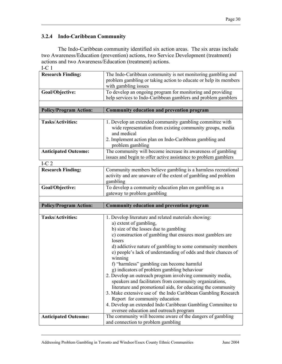## **3.2.4 Indo-Caribbean Community**

The Indo-Caribbean community identified six action areas. The six areas include two Awareness/Education (prevention) actions, two Service Development (treatment) actions and two Awareness/Education (treatment) actions.

| ۰. |  |
|----|--|

| 1-U 1                         |                                                                                                                                                         |
|-------------------------------|---------------------------------------------------------------------------------------------------------------------------------------------------------|
| <b>Research Finding:</b>      | The Indo-Caribbean community is not monitoring gambling and<br>problem gambling or taking action to educate or help its members<br>with gambling issues |
| Goal/Objective:               | To develop an ongoing program for monitoring and providing<br>help services to Indo-Caribbean gamblers and problem gamblers                             |
|                               |                                                                                                                                                         |
| <b>Policy/Program Action:</b> | <b>Community education and prevention program</b>                                                                                                       |
| <b>Tasks/Activities:</b>      | 1. Develop an extended community gambling committee with<br>wide representation from existing community groups, media<br>and medical                    |
|                               | 2. Implement action plan on Indo-Caribbean gambling and<br>problem gambling                                                                             |
| <b>Anticipated Outcome:</b>   | The community will become increase its awareness of gambling<br>issues and begin to offer active assistance to problem gamblers                         |
| I-C $2$                       |                                                                                                                                                         |
| <b>Research Finding:</b>      | Community members believe gambling is a harmless recreational<br>activity and are unaware of the extent of gambling and problem<br>gambling             |
| Goal/Objective:               | To develop a community education plan on gambling as a<br>gateway to problem gambling                                                                   |
|                               |                                                                                                                                                         |
|                               |                                                                                                                                                         |
| <b>Policy/Program Action:</b> | Community education and prevention program                                                                                                              |
|                               |                                                                                                                                                         |
| <b>Tasks/Activities:</b>      | 1. Develop literature and related materials showing:                                                                                                    |
|                               | a) extent of gambling,                                                                                                                                  |
|                               | b) size of the losses due to gambling                                                                                                                   |
|                               | c) construction of gambling that ensures most gamblers are                                                                                              |
|                               | losers                                                                                                                                                  |
|                               | d) addictive nature of gambling to some community members                                                                                               |
|                               | e) people's lack of understanding of odds and their chances of                                                                                          |
|                               | winning                                                                                                                                                 |
|                               | f) "harmless" gambling can become harmful                                                                                                               |
|                               | g) indicators of problem gambling behaviour                                                                                                             |
|                               | 2. Develop an outreach program involving community media,                                                                                               |
|                               | speakers and facilitators from community organizations,                                                                                                 |
|                               | literature and promotional aids, for educating the community                                                                                            |
|                               | 3. Make extensive use of the Indo Caribbean Gambling Research                                                                                           |
|                               | Report for community education                                                                                                                          |
|                               | 4. Develop an extended Indo Caribbean Gambling Committee to                                                                                             |
| <b>Anticipated Outcome:</b>   | oversee education and outreach program<br>The community will become aware of the dangers of gambling                                                    |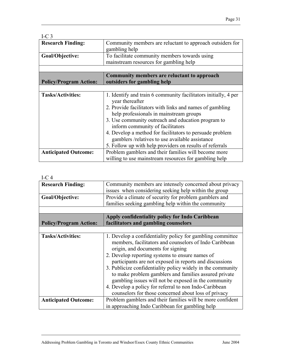| I-C $3$                       |                                                                                                             |
|-------------------------------|-------------------------------------------------------------------------------------------------------------|
| <b>Research Finding:</b>      | Community members are reluctant to approach outsiders for<br>gambling help                                  |
| Goal/Objective:               | To facilitate community members towards using<br>mainstream resources for gambling help                     |
|                               |                                                                                                             |
|                               | Community members are reluctant to approach                                                                 |
| <b>Policy/Program Action:</b> | outsiders for gambling help                                                                                 |
|                               |                                                                                                             |
| <b>Tasks/Activities:</b>      | 1. Identify and train 6 community facilitators initially, 4 per<br>year thereafter                          |
|                               | 2. Provide facilitators with links and names of gambling<br>help professionals in mainstream groups         |
|                               | 3. Use community outreach and education program to<br>inform community of facilitators                      |
|                               | 4. Develop a method for facilitators to persuade problem<br>gamblers /relatives to use available assistance |
|                               | 5. Follow up with help providers on results of referrals                                                    |
| <b>Anticipated Outcome:</b>   | Problem gamblers and their families will become more                                                        |
|                               | willing to use mainstream resources for gambling help                                                       |

#### I-C 4

| $1 - C$                       |                                                                                                                                                                                                                                                                                                                                                                                                                                                                                                                                                                           |  |
|-------------------------------|---------------------------------------------------------------------------------------------------------------------------------------------------------------------------------------------------------------------------------------------------------------------------------------------------------------------------------------------------------------------------------------------------------------------------------------------------------------------------------------------------------------------------------------------------------------------------|--|
| <b>Research Finding:</b>      | Community members are intensely concerned about privacy<br>issues when considering seeking help within the group                                                                                                                                                                                                                                                                                                                                                                                                                                                          |  |
| Goal/Objective:               | Provide a climate of security for problem gamblers and<br>families seeking gambling help within the community                                                                                                                                                                                                                                                                                                                                                                                                                                                             |  |
|                               |                                                                                                                                                                                                                                                                                                                                                                                                                                                                                                                                                                           |  |
|                               | Apply confidentiality policy for Indo Caribbean                                                                                                                                                                                                                                                                                                                                                                                                                                                                                                                           |  |
| <b>Policy/Program Action:</b> | facilitators and gambling counselors                                                                                                                                                                                                                                                                                                                                                                                                                                                                                                                                      |  |
|                               |                                                                                                                                                                                                                                                                                                                                                                                                                                                                                                                                                                           |  |
| <b>Tasks/Activities:</b>      | 1. Develop a confidentiality policy for gambling committee<br>members, facilitators and counselors of Indo Caribbean<br>origin, and documents for signing<br>2. Develop reporting systems to ensure names of<br>participants are not exposed in reports and discussions<br>3. Publicize confidentiality policy widely in the community<br>to make problem gamblers and families assured private<br>gambling issues will not be exposed in the community<br>4. Develop a policy for referral to non Indo-Caribbean<br>counselors for those concerned about loss of privacy |  |
| <b>Anticipated Outcome:</b>   | Problem gamblers and their families will be more confident<br>in approaching Indo Caribbean for gambling help                                                                                                                                                                                                                                                                                                                                                                                                                                                             |  |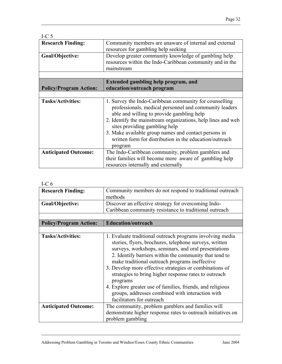| I-C $5$                       |                                                                                                                                                                                                                                                                                                                                                                                              |
|-------------------------------|----------------------------------------------------------------------------------------------------------------------------------------------------------------------------------------------------------------------------------------------------------------------------------------------------------------------------------------------------------------------------------------------|
| <b>Research Finding:</b>      | Community members are unaware of internal and external<br>resources for gambling help seeking                                                                                                                                                                                                                                                                                                |
| Goal/Objective:               | Develop greater community knowledge of gambling help<br>resources within the Indo-Caribbean community and in the<br>mainstream                                                                                                                                                                                                                                                               |
|                               |                                                                                                                                                                                                                                                                                                                                                                                              |
|                               | Extended gambling help program, and                                                                                                                                                                                                                                                                                                                                                          |
| <b>Policy/Program Action:</b> | education/outreach program                                                                                                                                                                                                                                                                                                                                                                   |
|                               |                                                                                                                                                                                                                                                                                                                                                                                              |
| <b>Tasks/Activities:</b>      | 1. Survey the Indo-Caribbean community for counselling<br>professionals, medical personnel and community leaders<br>able and willing to provide gambling help<br>2. Identify the mainstream organizations, help lines and web<br>sites providing gambling help<br>3. Make available group names and contact persons in<br>written form for distribution in the education/outreach<br>program |
| <b>Anticipated Outcome:</b>   | The Indo-Caribbean community, problem gamblers and                                                                                                                                                                                                                                                                                                                                           |
|                               | their families will become more aware of gambling help                                                                                                                                                                                                                                                                                                                                       |
|                               | resources internally and externally                                                                                                                                                                                                                                                                                                                                                          |

#### I-C 6

| <b>Research Finding:</b>      | Community members do not respond to traditional outreach<br>methods                                                                                                                                                                                                                                                                                                                                                                                                                                                                                                    |
|-------------------------------|------------------------------------------------------------------------------------------------------------------------------------------------------------------------------------------------------------------------------------------------------------------------------------------------------------------------------------------------------------------------------------------------------------------------------------------------------------------------------------------------------------------------------------------------------------------------|
| Goal/Objective:               | Discover an effective strategy for overcoming Indo-                                                                                                                                                                                                                                                                                                                                                                                                                                                                                                                    |
|                               | Caribbean community resistance to traditional outreach                                                                                                                                                                                                                                                                                                                                                                                                                                                                                                                 |
|                               |                                                                                                                                                                                                                                                                                                                                                                                                                                                                                                                                                                        |
| <b>Policy/Program Action:</b> | <b>Education/outreach</b>                                                                                                                                                                                                                                                                                                                                                                                                                                                                                                                                              |
|                               |                                                                                                                                                                                                                                                                                                                                                                                                                                                                                                                                                                        |
| <b>Tasks/Activities:</b>      | 1. Evaluate traditional outreach programs involving media<br>stories, flyers, brochures, telephone surveys, written<br>surveys, workshops, seminars, and oral presentations<br>2. Identify barriers within the community that tend to<br>make traditional outreach programs ineffective<br>3. Develop more effective strategies or combinations of<br>strategies to bring higher response rates to outreach<br>programs<br>4. Explore greater use of families, friends, and religious<br>groups, addresses combined with interaction with<br>facilitators for outreach |
| <b>Anticipated Outcome:</b>   | The community, problem gamblers and families will<br>demonstrate higher response rates to outreach initiatives on<br>problem gambling                                                                                                                                                                                                                                                                                                                                                                                                                                  |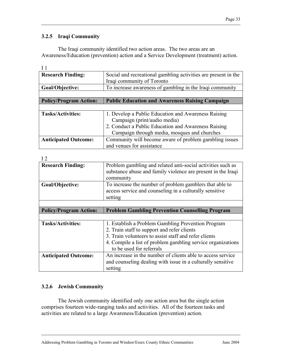## **3.2.5 Iraqi Community**

The Iraqi community identified two action areas. The two areas are an Awareness/Education (prevention) action and a Service Development (treatment) action.

| ۰, |  |
|----|--|
|    |  |

| <b>Research Finding:</b>      | Social and recreational gambling activities are present in the<br>Iraqi community of Toronto |
|-------------------------------|----------------------------------------------------------------------------------------------|
| Goal/Objective:               | To increase awareness of gambling in the Iraqi community                                     |
|                               |                                                                                              |
| <b>Policy/Program Action:</b> | <b>Public Education and Awareness Raising Campaign</b>                                       |
|                               |                                                                                              |
| <b>Tasks/Activities:</b>      | 1. Develop a Public Education and Awareness Raising                                          |
|                               | Campaign (print/audio media)                                                                 |
|                               | 2. Conduct a Public Education and Awareness Raising                                          |
|                               | Campaign through media, mosques and churches                                                 |
| <b>Anticipated Outcome:</b>   | Community will become aware of problem gambling issues                                       |
|                               | and venues for assistance                                                                    |

| $\sqrt{2}$                    |                                                                                                                             |
|-------------------------------|-----------------------------------------------------------------------------------------------------------------------------|
| <b>Research Finding:</b>      | Problem gambling and related anti-social activities such as<br>substance abuse and family violence are present in the Iraqi |
|                               | community                                                                                                                   |
| Goal/Objective:               | To increase the number of problem gamblers that able to                                                                     |
|                               | access service and counseling in a culturally sensitive                                                                     |
|                               | setting                                                                                                                     |
|                               |                                                                                                                             |
| <b>Policy/Program Action:</b> | <b>Problem Gambling Prevention Counselling Program</b>                                                                      |
|                               |                                                                                                                             |
|                               |                                                                                                                             |
| <b>Tasks/Activities:</b>      | 1. Establish a Problem Gambling Prevention Program                                                                          |
|                               | 2. Train staff to support and refer clients                                                                                 |
|                               | 3. Train volunteers to assist staff and refer clients                                                                       |
|                               | 4. Compile a list of problem gambling service organizations                                                                 |
|                               | to be used for referrals                                                                                                    |
| <b>Anticipated Outcome:</b>   | An increase in the number of clients able to access service                                                                 |
|                               | and counseling dealing with issue in a culturally sensitive                                                                 |

## **3.2.6 Jewish Community**

The Jewish community identified only one action area but the single action comprises fourteen wide-ranging tasks and activities. All of the fourteen tasks and activities are related to a large Awareness/Education (prevention) action.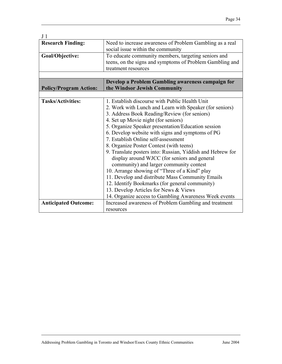| J <sub>1</sub>                |                                                                                                                                                                                                                                                                                                                                                                                                                                                                                                            |
|-------------------------------|------------------------------------------------------------------------------------------------------------------------------------------------------------------------------------------------------------------------------------------------------------------------------------------------------------------------------------------------------------------------------------------------------------------------------------------------------------------------------------------------------------|
| <b>Research Finding:</b>      | Need to increase awareness of Problem Gambling as a real<br>social issue within the community                                                                                                                                                                                                                                                                                                                                                                                                              |
| Goal/Objective:               | To educate community members, targeting seniors and<br>teens, on the signs and symptoms of Problem Gambling and<br>treatment resources                                                                                                                                                                                                                                                                                                                                                                     |
| <b>Policy/Program Action:</b> | Develop a Problem Gambling awareness campaign for<br>the Windsor Jewish Community                                                                                                                                                                                                                                                                                                                                                                                                                          |
|                               |                                                                                                                                                                                                                                                                                                                                                                                                                                                                                                            |
| <b>Tasks/Activities:</b>      | 1. Establish discourse with Public Health Unit<br>2. Work with Lunch and Learn with Speaker (for seniors)<br>3. Address Book Reading/Review (for seniors)<br>4. Set up Movie night (for seniors)<br>5. Organize Speaker presentation/Education session<br>6. Develop website with signs and symptoms of PG<br>7. Establish Online self-assessment<br>8. Organize Poster Contest (with teens)<br>9. Translate posters into: Russian, Yiddish and Hebrew for<br>display around WJCC (for seniors and general |
|                               | community) and larger community contest<br>10. Arrange showing of "Three of a Kind" play<br>11. Develop and distribute Mass Community Emails<br>12. Identify Bookmarks (for general community)<br>13. Develop Articles for News & Views<br>14. Organize access to Gambling Awareness Week events                                                                                                                                                                                                           |
| <b>Anticipated Outcome:</b>   | Increased awareness of Problem Gambling and treatment<br>resources                                                                                                                                                                                                                                                                                                                                                                                                                                         |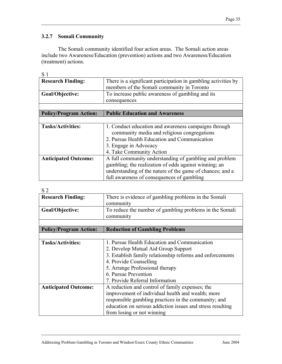## **3.2.7 Somali Community**

The Somali community identified four action areas. The Somali action areas include two Awareness/Education (prevention) actions and two Awareness/Education (treatment) actions.

| <b>Research Finding:</b>      | There is a significant participation in gambling activities by<br>members of the Somali community in Toronto |
|-------------------------------|--------------------------------------------------------------------------------------------------------------|
| Goal/Objective:               | To increase public awareness of gambling and its                                                             |
|                               | consequences                                                                                                 |
|                               |                                                                                                              |
| <b>Policy/Program Action:</b> | <b>Public Education and Awareness</b>                                                                        |
|                               |                                                                                                              |
| <b>Tasks/Activities:</b>      | 1. Conduct education and awareness campaigns through                                                         |
|                               | community media and religious congregations                                                                  |
|                               | 2. Pursue Health Education and Communication                                                                 |
|                               | 3. Engage in Advocacy                                                                                        |
|                               | 4. Take Community Action                                                                                     |
| <b>Anticipated Outcome:</b>   | A full community understanding of gambling and problem                                                       |
|                               | gambling; the realization of odds against winning; an                                                        |
|                               | understanding of the nature of the game of chances; and a                                                    |
|                               | full awareness of consequences of gambling                                                                   |

| ۰.<br>۰.<br>٠ |  |
|---------------|--|

| 5Z                            |                                                            |
|-------------------------------|------------------------------------------------------------|
| <b>Research Finding:</b>      | There is evidence of gambling problems in the Somali       |
|                               | community                                                  |
| Goal/Objective:               | To reduce the number of gambling problems in the Somali    |
|                               | community                                                  |
|                               |                                                            |
| <b>Policy/Program Action:</b> | <b>Reduction of Gambling Problems</b>                      |
|                               |                                                            |
| <b>Tasks/Activities:</b>      | 1. Pursue Health Education and Communication               |
|                               | 2. Develop Mutual Aid Group Support                        |
|                               | 3. Establish family relationship reforms and enforcements  |
|                               | 4. Provide Counselling                                     |
|                               | 5. Arrange Professional therapy                            |
|                               | 6. Pursue Prevention                                       |
|                               | 7. Provide Referral Information                            |
| <b>Anticipated Outcome:</b>   | A reduction and control of family expenses; the            |
|                               | improvement of individual health and wealth; more          |
|                               | responsible gambling practices in the community; and       |
|                               | education on serious addiction issues and stress resulting |
|                               | from losing or not winning                                 |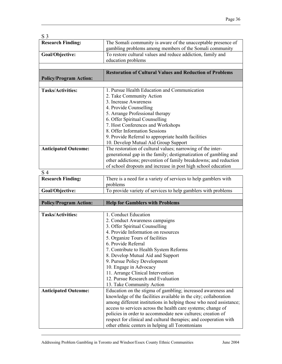| <b>Research Finding:</b><br>Goal/Objective:<br><b>Policy/Program Action:</b><br><b>Tasks/Activities:</b><br><b>Anticipated Outcome:</b><br>S <sub>4</sub><br><b>Research Finding:</b> | The Somali community is aware of the unacceptable presence of<br>gambling problems among members of the Somali community<br>To restore cultural values and reduce addiction, family and<br>education problems<br><b>Restoration of Cultural Values and Reduction of Problems</b><br>1. Pursue Health Education and Communication<br>2. Take Community Action<br>3. Increase Awareness<br>4. Provide Counselling<br>5. Arrange Professional therapy<br>6. Offer Spiritual Counselling<br>7. Host Conferences and Workshops<br>8. Offer Information Sessions<br>9. Provide Referral to appropriate health facilities<br>10. Develop Mutual Aid Group Support<br>The restoration of cultural values; narrowing of the inter-<br>generational gap in the family; destigmatization of gambling and<br>other addictions; prevention of family breakdowns; and reduction<br>of school dropouts and increase in post high school education |
|---------------------------------------------------------------------------------------------------------------------------------------------------------------------------------------|------------------------------------------------------------------------------------------------------------------------------------------------------------------------------------------------------------------------------------------------------------------------------------------------------------------------------------------------------------------------------------------------------------------------------------------------------------------------------------------------------------------------------------------------------------------------------------------------------------------------------------------------------------------------------------------------------------------------------------------------------------------------------------------------------------------------------------------------------------------------------------------------------------------------------------|
|                                                                                                                                                                                       |                                                                                                                                                                                                                                                                                                                                                                                                                                                                                                                                                                                                                                                                                                                                                                                                                                                                                                                                    |
|                                                                                                                                                                                       |                                                                                                                                                                                                                                                                                                                                                                                                                                                                                                                                                                                                                                                                                                                                                                                                                                                                                                                                    |
|                                                                                                                                                                                       |                                                                                                                                                                                                                                                                                                                                                                                                                                                                                                                                                                                                                                                                                                                                                                                                                                                                                                                                    |
|                                                                                                                                                                                       |                                                                                                                                                                                                                                                                                                                                                                                                                                                                                                                                                                                                                                                                                                                                                                                                                                                                                                                                    |
|                                                                                                                                                                                       |                                                                                                                                                                                                                                                                                                                                                                                                                                                                                                                                                                                                                                                                                                                                                                                                                                                                                                                                    |
|                                                                                                                                                                                       |                                                                                                                                                                                                                                                                                                                                                                                                                                                                                                                                                                                                                                                                                                                                                                                                                                                                                                                                    |
|                                                                                                                                                                                       |                                                                                                                                                                                                                                                                                                                                                                                                                                                                                                                                                                                                                                                                                                                                                                                                                                                                                                                                    |
|                                                                                                                                                                                       |                                                                                                                                                                                                                                                                                                                                                                                                                                                                                                                                                                                                                                                                                                                                                                                                                                                                                                                                    |
|                                                                                                                                                                                       |                                                                                                                                                                                                                                                                                                                                                                                                                                                                                                                                                                                                                                                                                                                                                                                                                                                                                                                                    |
|                                                                                                                                                                                       |                                                                                                                                                                                                                                                                                                                                                                                                                                                                                                                                                                                                                                                                                                                                                                                                                                                                                                                                    |
|                                                                                                                                                                                       |                                                                                                                                                                                                                                                                                                                                                                                                                                                                                                                                                                                                                                                                                                                                                                                                                                                                                                                                    |
|                                                                                                                                                                                       |                                                                                                                                                                                                                                                                                                                                                                                                                                                                                                                                                                                                                                                                                                                                                                                                                                                                                                                                    |
|                                                                                                                                                                                       |                                                                                                                                                                                                                                                                                                                                                                                                                                                                                                                                                                                                                                                                                                                                                                                                                                                                                                                                    |
|                                                                                                                                                                                       |                                                                                                                                                                                                                                                                                                                                                                                                                                                                                                                                                                                                                                                                                                                                                                                                                                                                                                                                    |
|                                                                                                                                                                                       |                                                                                                                                                                                                                                                                                                                                                                                                                                                                                                                                                                                                                                                                                                                                                                                                                                                                                                                                    |
|                                                                                                                                                                                       |                                                                                                                                                                                                                                                                                                                                                                                                                                                                                                                                                                                                                                                                                                                                                                                                                                                                                                                                    |
|                                                                                                                                                                                       |                                                                                                                                                                                                                                                                                                                                                                                                                                                                                                                                                                                                                                                                                                                                                                                                                                                                                                                                    |
|                                                                                                                                                                                       |                                                                                                                                                                                                                                                                                                                                                                                                                                                                                                                                                                                                                                                                                                                                                                                                                                                                                                                                    |
|                                                                                                                                                                                       |                                                                                                                                                                                                                                                                                                                                                                                                                                                                                                                                                                                                                                                                                                                                                                                                                                                                                                                                    |
|                                                                                                                                                                                       |                                                                                                                                                                                                                                                                                                                                                                                                                                                                                                                                                                                                                                                                                                                                                                                                                                                                                                                                    |
|                                                                                                                                                                                       |                                                                                                                                                                                                                                                                                                                                                                                                                                                                                                                                                                                                                                                                                                                                                                                                                                                                                                                                    |
|                                                                                                                                                                                       |                                                                                                                                                                                                                                                                                                                                                                                                                                                                                                                                                                                                                                                                                                                                                                                                                                                                                                                                    |
|                                                                                                                                                                                       | There is a need for a variety of services to help gamblers with                                                                                                                                                                                                                                                                                                                                                                                                                                                                                                                                                                                                                                                                                                                                                                                                                                                                    |
|                                                                                                                                                                                       | problems                                                                                                                                                                                                                                                                                                                                                                                                                                                                                                                                                                                                                                                                                                                                                                                                                                                                                                                           |
| Goal/Objective:                                                                                                                                                                       | To provide variety of services to help gamblers with problems                                                                                                                                                                                                                                                                                                                                                                                                                                                                                                                                                                                                                                                                                                                                                                                                                                                                      |
| <b>Policy/Program Action:</b>                                                                                                                                                         | <b>Help for Gamblers with Problems</b>                                                                                                                                                                                                                                                                                                                                                                                                                                                                                                                                                                                                                                                                                                                                                                                                                                                                                             |
|                                                                                                                                                                                       |                                                                                                                                                                                                                                                                                                                                                                                                                                                                                                                                                                                                                                                                                                                                                                                                                                                                                                                                    |
| <b>Tasks/Activities:</b>                                                                                                                                                              | 1. Conduct Education                                                                                                                                                                                                                                                                                                                                                                                                                                                                                                                                                                                                                                                                                                                                                                                                                                                                                                               |
|                                                                                                                                                                                       | 2. Conduct Awareness campaigns                                                                                                                                                                                                                                                                                                                                                                                                                                                                                                                                                                                                                                                                                                                                                                                                                                                                                                     |
|                                                                                                                                                                                       | 3. Offer Spiritual Counselling                                                                                                                                                                                                                                                                                                                                                                                                                                                                                                                                                                                                                                                                                                                                                                                                                                                                                                     |
|                                                                                                                                                                                       | 4. Provide Information on resources                                                                                                                                                                                                                                                                                                                                                                                                                                                                                                                                                                                                                                                                                                                                                                                                                                                                                                |
|                                                                                                                                                                                       | 5. Organize Tours of facilities                                                                                                                                                                                                                                                                                                                                                                                                                                                                                                                                                                                                                                                                                                                                                                                                                                                                                                    |
|                                                                                                                                                                                       | 6. Provide Referral                                                                                                                                                                                                                                                                                                                                                                                                                                                                                                                                                                                                                                                                                                                                                                                                                                                                                                                |
|                                                                                                                                                                                       | 7. Contribute to Health System Reforms                                                                                                                                                                                                                                                                                                                                                                                                                                                                                                                                                                                                                                                                                                                                                                                                                                                                                             |
|                                                                                                                                                                                       | 8. Develop Mutual Aid and Support                                                                                                                                                                                                                                                                                                                                                                                                                                                                                                                                                                                                                                                                                                                                                                                                                                                                                                  |
|                                                                                                                                                                                       | 9. Pursue Policy Development                                                                                                                                                                                                                                                                                                                                                                                                                                                                                                                                                                                                                                                                                                                                                                                                                                                                                                       |
|                                                                                                                                                                                       | 10. Engage in Advocacy                                                                                                                                                                                                                                                                                                                                                                                                                                                                                                                                                                                                                                                                                                                                                                                                                                                                                                             |
|                                                                                                                                                                                       | 11. Arrange Clinical Intervention                                                                                                                                                                                                                                                                                                                                                                                                                                                                                                                                                                                                                                                                                                                                                                                                                                                                                                  |
|                                                                                                                                                                                       | 12. Pursue Research and Evaluation                                                                                                                                                                                                                                                                                                                                                                                                                                                                                                                                                                                                                                                                                                                                                                                                                                                                                                 |
|                                                                                                                                                                                       |                                                                                                                                                                                                                                                                                                                                                                                                                                                                                                                                                                                                                                                                                                                                                                                                                                                                                                                                    |
|                                                                                                                                                                                       |                                                                                                                                                                                                                                                                                                                                                                                                                                                                                                                                                                                                                                                                                                                                                                                                                                                                                                                                    |
|                                                                                                                                                                                       | among different institutions in helping those who need assistance;                                                                                                                                                                                                                                                                                                                                                                                                                                                                                                                                                                                                                                                                                                                                                                                                                                                                 |
|                                                                                                                                                                                       | access to services across the health care systems; change of                                                                                                                                                                                                                                                                                                                                                                                                                                                                                                                                                                                                                                                                                                                                                                                                                                                                       |
|                                                                                                                                                                                       |                                                                                                                                                                                                                                                                                                                                                                                                                                                                                                                                                                                                                                                                                                                                                                                                                                                                                                                                    |
|                                                                                                                                                                                       |                                                                                                                                                                                                                                                                                                                                                                                                                                                                                                                                                                                                                                                                                                                                                                                                                                                                                                                                    |
|                                                                                                                                                                                       | policies in order to accommodate new cultures; creation of<br>respect for clinical and cultural therapies; and cooperation with                                                                                                                                                                                                                                                                                                                                                                                                                                                                                                                                                                                                                                                                                                                                                                                                    |
| <b>Anticipated Outcome:</b>                                                                                                                                                           | 13. Take Community Action<br>Education on the stigma of gambling; increased awareness and<br>knowledge of the facilities available in the city; collaboration                                                                                                                                                                                                                                                                                                                                                                                                                                                                                                                                                                                                                                                                                                                                                                      |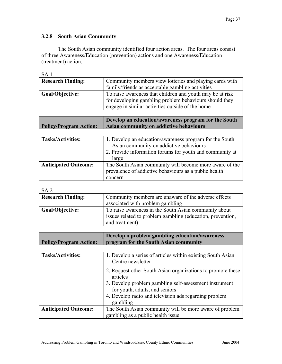## **3.2.8 South Asian Community**

The South Asian community identified four action areas. The four areas consist of three Awareness/Education (prevention) actions and one Awareness/Education (treatment) action.

| <b>Research Finding:</b>      | Community members view lotteries and playing cards with<br>family/friends as acceptable gambling activities         |  |  |  |  |  |
|-------------------------------|---------------------------------------------------------------------------------------------------------------------|--|--|--|--|--|
| Goal/Objective:               | To raise awareness that children and youth may be at risk<br>for developing gambling problem behaviours should they |  |  |  |  |  |
|                               | engage in similar activities outside of the home                                                                    |  |  |  |  |  |
|                               |                                                                                                                     |  |  |  |  |  |
|                               | Develop an education/awareness program for the South                                                                |  |  |  |  |  |
| <b>Policy/Program Action:</b> | Asian community on addictive behaviours                                                                             |  |  |  |  |  |
|                               |                                                                                                                     |  |  |  |  |  |
|                               |                                                                                                                     |  |  |  |  |  |
| <b>Tasks/Activities:</b>      | 1. Develop an education/awareness program for the South                                                             |  |  |  |  |  |
|                               | Asian community on addictive behaviours                                                                             |  |  |  |  |  |
|                               | 2. Provide information forums for youth and community at                                                            |  |  |  |  |  |
|                               | large                                                                                                               |  |  |  |  |  |
| <b>Anticipated Outcome:</b>   | The South Asian community will become more aware of the                                                             |  |  |  |  |  |
|                               | prevalence of addictive behaviours as a public health                                                               |  |  |  |  |  |

#### SA 2

| <b>Research Finding:</b>      | Community members are unaware of the adverse effects        |  |  |  |  |  |  |  |
|-------------------------------|-------------------------------------------------------------|--|--|--|--|--|--|--|
|                               | associated with problem gambling                            |  |  |  |  |  |  |  |
|                               |                                                             |  |  |  |  |  |  |  |
| Goal/Objective:               | To raise awareness in the South Asian community about       |  |  |  |  |  |  |  |
|                               | issues related to problem gambling (education, prevention,  |  |  |  |  |  |  |  |
|                               | and treatment)                                              |  |  |  |  |  |  |  |
|                               |                                                             |  |  |  |  |  |  |  |
|                               | Develop a problem gambling education/awareness              |  |  |  |  |  |  |  |
| <b>Policy/Program Action:</b> | program for the South Asian community                       |  |  |  |  |  |  |  |
|                               |                                                             |  |  |  |  |  |  |  |
| <b>Tasks/Activities:</b>      | 1. Develop a series of articles within existing South Asian |  |  |  |  |  |  |  |
|                               |                                                             |  |  |  |  |  |  |  |
|                               | Centre newsletter                                           |  |  |  |  |  |  |  |
|                               | 2. Request other South Asian organizations to promote these |  |  |  |  |  |  |  |
|                               |                                                             |  |  |  |  |  |  |  |
|                               | articles                                                    |  |  |  |  |  |  |  |
|                               | 3. Develop problem gambling self-assessment instrument      |  |  |  |  |  |  |  |
|                               | for youth, adults, and seniors                              |  |  |  |  |  |  |  |
|                               | 4. Develop radio and television ads regarding problem       |  |  |  |  |  |  |  |
|                               |                                                             |  |  |  |  |  |  |  |
|                               | gambling                                                    |  |  |  |  |  |  |  |
| <b>Anticipated Outcome:</b>   | The South Asian community will be more aware of problem     |  |  |  |  |  |  |  |
|                               | gambling as a public health issue                           |  |  |  |  |  |  |  |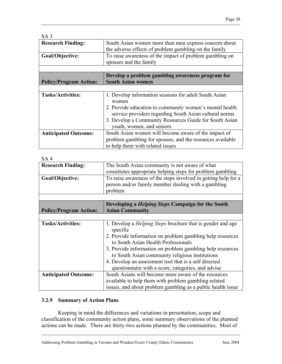| South Asian women more than men express concern about<br>the adverse effects of problem gambling on the family    |  |  |  |  |  |
|-------------------------------------------------------------------------------------------------------------------|--|--|--|--|--|
| To raise awareness of the impact of problem gambling on<br>spouses and the family                                 |  |  |  |  |  |
|                                                                                                                   |  |  |  |  |  |
| Develop a problem gambling awareness program for                                                                  |  |  |  |  |  |
| <b>South Asian women</b><br><b>Policy/Program Action:</b>                                                         |  |  |  |  |  |
|                                                                                                                   |  |  |  |  |  |
| 1. Develop information sessions for adult South Asian<br>women                                                    |  |  |  |  |  |
| 2. Provide education to community women's mental health<br>service providers regarding South Asian cultural norms |  |  |  |  |  |
| 3. Develop a Community Resources Guide for South Asian<br>youth, women, and seniors                               |  |  |  |  |  |
| South Asian women will become aware of the impact of                                                              |  |  |  |  |  |
| problem gambling for spouses, and the resources available<br>to help them with related issues                     |  |  |  |  |  |
|                                                                                                                   |  |  |  |  |  |

| SA <sub>4</sub>               |                                                                                                                                  |  |  |  |  |  |
|-------------------------------|----------------------------------------------------------------------------------------------------------------------------------|--|--|--|--|--|
| <b>Research Finding:</b>      | The South Asian community is not aware of what<br>constitutes appropriate helping steps for problem gambling                     |  |  |  |  |  |
| Goal/Objective:               | To raise awareness of the steps involved in getting help for a<br>person and/or family member dealing with a gambling<br>problem |  |  |  |  |  |
|                               |                                                                                                                                  |  |  |  |  |  |
|                               | Developing a <i>Helping Steps</i> Campaign for the South                                                                         |  |  |  |  |  |
| <b>Policy/Program Action:</b> | <b>Asian Community</b>                                                                                                           |  |  |  |  |  |
|                               |                                                                                                                                  |  |  |  |  |  |
| <b>Tasks/Activities:</b>      | 1. Develop a <i>Helping Steps</i> brochure that is gender and age<br>specific                                                    |  |  |  |  |  |
|                               | 2. Provide information on problem gambling help resources<br>to South Asian Health Professionals                                 |  |  |  |  |  |
|                               | 3. Provide information on problem gambling help resources                                                                        |  |  |  |  |  |
|                               | to South Asian community religious institutions                                                                                  |  |  |  |  |  |
|                               | 4. Develop an assessment tool that is a self directed                                                                            |  |  |  |  |  |
|                               | questionnaire with a score, categories, and advise                                                                               |  |  |  |  |  |
| <b>Anticipated Outcome:</b>   | South Asians will become more aware of the resources                                                                             |  |  |  |  |  |
|                               | available to help them with problem gambling related                                                                             |  |  |  |  |  |
|                               | issues, and about problem gambling as a public health issue                                                                      |  |  |  |  |  |

## **3.2.9 Summary of Action Plans**

Keeping in mind the differences and variations in presentation, scope and classification of the community action plans, some summary observations of the planned actions can be made. There are thirty-two actions planned by the communities. Most of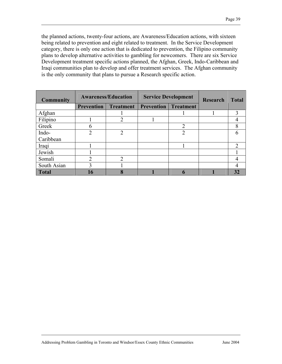the planned actions, twenty-four actions, are Awareness/Education actions, with sixteen being related to prevention and eight related to treatment. In the Service Development category, there is only one action that is dedicated to prevention, the Filipino community plans to develop alternative activities to gambling for newcomers. There are six Service Development treatment specific actions planned, the Afghan, Greek, Indo-Caribbean and Iraqi communities plan to develop and offer treatment services. The Afghan community is the only community that plans to pursue a Research specific action.

| <b>Community</b> | <b>Awareness/Education</b> |                  | <b>Service Development</b> |                  | <b>Research</b> | <b>Total</b>   |
|------------------|----------------------------|------------------|----------------------------|------------------|-----------------|----------------|
|                  | <b>Prevention</b>          | <b>Treatment</b> | Prevention                 | <b>Treatment</b> |                 |                |
| Afghan           |                            |                  |                            |                  |                 | 3              |
| Filipino         |                            | 2                |                            |                  |                 |                |
| Greek            | 6                          |                  |                            | ↑                |                 | 8              |
| Indo-            | ∍                          | $\overline{2}$   |                            | 2                |                 | 6              |
| Caribbean        |                            |                  |                            |                  |                 |                |
| Iraqi            |                            |                  |                            |                  |                 | $\mathfrak{D}$ |
| Jewish           |                            |                  |                            |                  |                 |                |
| Somali           | ∍                          | $\overline{2}$   |                            |                  |                 |                |
| South Asian      |                            |                  |                            |                  |                 |                |
| Total            | 16                         | 8                |                            |                  |                 | 32             |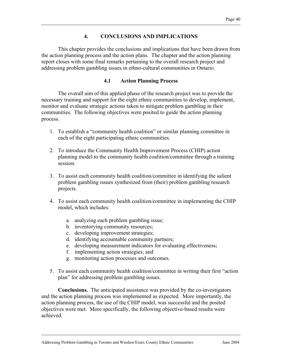## **4. CONCLUSIONS AND IMPLICATIONS**

This chapter provides the conclusions and implications that have been drawn from the action planning process and the action plans. The chapter and the action planning report closes with some final remarks pertaining to the overall research project and addressing problem gambling issues in ethno-cultural communities in Ontario.

#### **4.1 Action Planning Process**

The overall aim of this applied phase of the research project was to provide the necessary training and support for the eight ethnic communities to develop, implement, monitor and evaluate strategic actions taken to mitigate problem gambling in their communities. The following objectives were posited to guide the action planning process.

- 1. To establish a "community health coalition" or similar planning committee in each of the eight participating ethnic communities.
- 2. To introduce the Community Health Improvement Process (CHIP) action planning model to the community health coalition/committee through a training session.
- 3. To assist each community health coalition/committee in identifying the salient problem gambling issues synthesized from (their) problem gambling research projects.
- 4. To assist each community health coalition/committee in implementing the CHIP model, which includes:
	- a. analyzing each problem gambling issue;
	- b. inventorying community resources;
	- c. developing improvement strategies;
	- d. identifying accountable community partners;
	- e. developing measurement indicators for evaluating effectiveness;
	- f. implementing action strategies; and
	- g. monitoring action processes and outcomes.
- 5. To assist each community health coalition/committee in writing their first "action plan" for addressing problem gambling issues.

**Conclusions.** The anticipated assistance was provided by the co-investigators and the action planning process was implemented as expected. More importantly, the action planning process, the use of the CHIP model, was successful and the posited objectives were met. More specifically, the following objective-based results were achieved.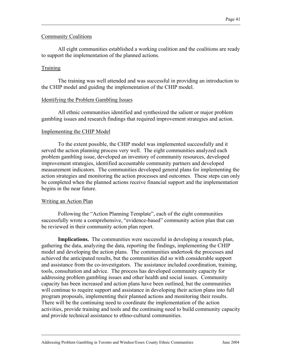#### Community Coalitions

All eight communities established a working coalition and the coalitions are ready to support the implementation of the planned actions.

#### **Training**

The training was well attended and was successful in providing an introduction to the CHIP model and guiding the implementation of the CHIP model.

#### Identifying the Problem Gambling Issues

All ethnic communities identified and synthesized the salient or major problem gambling issues and research findings that required improvement strategies and action.

#### Implementing the CHIP Model

To the extent possible, the CHIP model was implemented successfully and it served the action planning process very well. The eight communities analyzed each problem gambling issue, developed an inventory of community resources, developed improvement strategies, identified accountable community partners and developed measurement indicators. The communities developed general plans for implementing the action strategies and monitoring the action processes and outcomes. These steps can only be completed when the planned actions receive financial support and the implementation begins in the near future.

#### Writing an Action Plan

Following the "Action Planning Template", each of the eight communities successfully wrote a comprehensive, "evidence-based" community action plan that can be reviewed in their community action plan report.

**Implications.** The communities were successful in developing a research plan, gathering the data, analyzing the data, reporting the findings, implementing the CHIP model and developing the action plans. The communities undertook the processes and achieved the anticipated results, but the communities did so with considerable support and assistance from the co-investigators. The assistance included coordination, training, tools, consultation and advice. The process has developed community capacity for addressing problem gambling issues and other health and social issues. Community capacity has been increased and action plans have been outlined, but the communities will continue to require support and assistance in developing their action plans into full program proposals, implementing their planned actions and monitoring their results. There will be the continuing need to coordinate the implementation of the action activities, provide training and tools and the continuing need to build community capacity and provide technical assistance to ethno-cultural communities.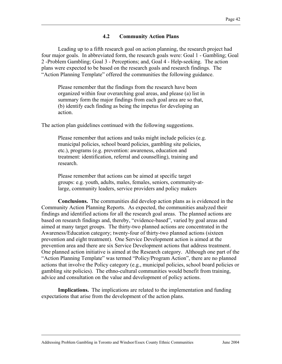#### **4.2 Community Action Plans**

Leading up to a fifth research goal on action planning, the research project had four major goals. In abbreviated form, the research goals were: Goal 1 - Gambling; Goal 2 -Problem Gambling; Goal 3 - Perceptions; and, Goal 4 - Help-seeking. The action plans were expected to be based on the research goals and research findings. The "Action Planning Template" offered the communities the following guidance.

Please remember that the findings from the research have been organized within four overarching goal areas, and please (a) list in summary form the major findings from each goal area are so that, (b) identify each finding as being the impetus for developing an action.

The action plan guidelines continued with the following suggestions.

Please remember that actions and tasks might include policies (e.g. municipal policies, school board policies, gambling site policies, etc.), programs (e.g. prevention: awareness, education and treatment: identification, referral and counselling), training and research.

Please remember that actions can be aimed at specific target groups: e.g. youth, adults, males, females, seniors, community-atlarge, community leaders, service providers and policy makers

**Conclusions.** The communities did develop action plans as is evidenced in the Community Action Planning Reports. As expected, the communities analyzed their findings and identified actions for all the research goal areas. The planned actions are based on research findings and, thereby, "evidence-based", varied by goal areas and aimed at many target groups. The thirty-two planned actions are concentrated in the Awareness/Education category; twenty-four of thirty-two planned actions (sixteen prevention and eight treatment). One Service Development action is aimed at the prevention area and there are six Service Development actions that address treatment. One planned action initiative is aimed at the Research category. Although one part of the "Action Planning Template" was termed "Policy/Program Action", there are no planned actions that involve the Policy category (e.g., municipal policies, school board policies or gambling site policies). The ethno-cultural communities would benefit from training, advice and consultation on the value and development of policy actions.

**Implications.** The implications are related to the implementation and funding expectations that arise from the development of the action plans.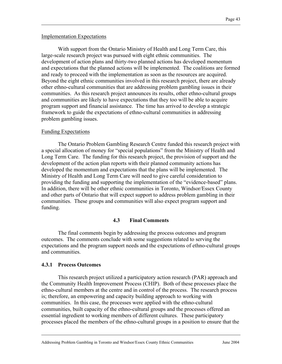#### Implementation Expectations

With support from the Ontario Ministry of Health and Long Term Care, this large-scale research project was pursued with eight ethnic communities. The development of action plans and thirty-two planned actions has developed momentum and expectations that the planned actions will be implemented. The coalitions are formed and ready to proceed with the implementation as soon as the resources are acquired. Beyond the eight ethnic communities involved in this research project, there are already other ethno-cultural communities that are addressing problem gambling issues in their communities. As this research project announces its results, other ethno-cultural groups and communities are likely to have expectations that they too will be able to acquire program support and financial assistance. The time has arrived to develop a strategic framework to guide the expectations of ethno-cultural communities in addressing problem gambling issues.

#### Funding Expectations

The Ontario Problem Gambling Research Centre funded this research project with a special allocation of money for "special populations" from the Ministry of Health and Long Term Care. The funding for this research project, the provision of support and the development of the action plan reports with their planned community actions has developed the momentum and expectations that the plans will be implemented. The Ministry of Health and Long Term Care will need to give careful consideration to providing the funding and supporting the implementation of the "evidence-based" plans. In addition, there will be other ethnic communities in Toronto, Windsor/Essex County and other parts of Ontario that will expect support to address problem gambling in their communities. These groups and communities will also expect program support and funding.

#### **4.3 Final Comments**

The final comments begin by addressing the process outcomes and program outcomes. The comments conclude with some suggestions related to serving the expectations and the program support needs and the expectations of ethno-cultural groups and communities.

#### **4.3.1 Process Outcomes**

This research project utilized a participatory action research (PAR) approach and the Community Health Improvement Process (CHIP). Both of these processes place the ethno-cultural members at the centre and in control of the process. The research process is; therefore, an empowering and capacity building approach to working with communities. In this case, the processes were applied with the ethno-cultural communities, built capacity of the ethno-cultural groups and the processes offered an essential ingredient to working members of different cultures. These participatory processes placed the members of the ethno-cultural groups in a position to ensure that the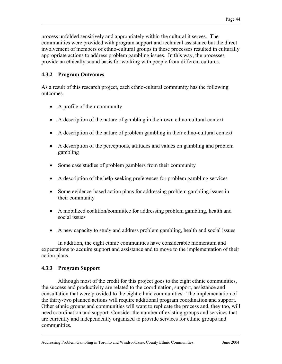process unfolded sensitively and appropriately within the cultural it serves. The communities were provided with program support and technical assistance but the direct involvement of members of ethno-cultural groups in these processes resulted in culturally appropriate actions to address problem gambling issues. In this way, the processes provide an ethically sound basis for working with people from different cultures.

## **4.3.2 Program Outcomes**

As a result of this research project, each ethno-cultural community has the following outcomes.

- A profile of their community
- A description of the nature of gambling in their own ethno-cultural context
- A description of the nature of problem gambling in their ethno-cultural context
- A description of the perceptions, attitudes and values on gambling and problem gambling
- Some case studies of problem gamblers from their community
- A description of the help-seeking preferences for problem gambling services
- Some evidence-based action plans for addressing problem gambling issues in their community
- A mobilized coalition/committee for addressing problem gambling, health and social issues
- A new capacity to study and address problem gambling, health and social issues

In addition, the eight ethnic communities have considerable momentum and expectations to acquire support and assistance and to move to the implementation of their action plans.

#### **4.3.3 Program Support**

Although most of the credit for this project goes to the eight ethnic communities, the success and productivity are related to the coordination, support, assistance and consultation that were provided to the eight ethnic communities. The implementation of the thirty-two planned actions will require additional program coordination and support. Other ethnic groups and communities will want to replicate the process and, they too, will need coordination and support. Consider the number of existing groups and services that are currently and independently organized to provide services for ethnic groups and communities.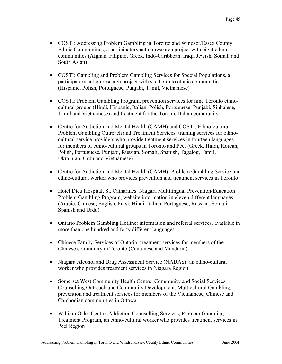- COSTI: Addressing Problem Gambling in Toronto and Windsor/Essex County Ethnic Communities, a participatory action research project with eight ethnic communities (Afghan, Filipino, Greek, Indo-Caribbean, Iraqi, Jewish, Somali and South Asian)
- COSTI: Gambling and Problem Gambling Services for Special Populations, a participatory action research project with six Toronto ethnic communities (Hispanic, Polish, Portuguese, Punjabi, Tamil, Vietnamese)
- COSTI: Problem Gambling Program, prevention services for nine Toronto ethnocultural groups (Hindi, Hispanic, Italian, Polish, Portuguese, Punjabi, Sinhalese, Tamil and Vietnamese) and treatment for the Toronto Italian community
- Centre for Addiction and Mental Health (CAMH) and COSTI: Ethno-cultural Problem Gambling Outreach and Treatment Services, training services for ethnocultural service providers who provide treatment services in fourteen languages for members of ethno-cultural groups in Toronto and Peel (Greek, Hindi, Korean, Polish, Portuguese, Punjabi, Russian, Somali, Spanish, Tagalog, Tamil, Ukrainian, Urdu and Vietnamese)
- Centre for Addiction and Mental Health (CAMH): Problem Gambling Service, an ethno-cultural worker who provides prevention and treatment services in Toronto
- Hotel Dieu Hospital, St. Catharines: Niagara Multilingual Prevention/Education Problem Gambling Program, website information in eleven different languages (Arabic, Chinese, English, Farsi, Hindi, Italian, Portuguese, Russian, Somali, Spanish and Urdu)
- Ontario Problem Gambling Hotline: information and referral services, available in more than one hundred and forty different languages
- Chinese Family Services of Ontario: treatment services for members of the Chinese community in Toronto (Cantonese and Mandarin)
- Niagara Alcohol and Drug Assessment Service (NADAS): an ethno-cultural worker who provides treatment services in Niagara Region
- Somerset West Community Health Centre: Community and Social Services: Counselling Outreach and Community Development, Multicultural Gambling, prevention and treatment services for members of the Vietnamese, Chinese and Cambodian communities in Ottawa
- William Osler Centre: Addiction Counselling Services, Problem Gambling Treatment Program, an ethno-cultural worker who provides treatment services in Peel Region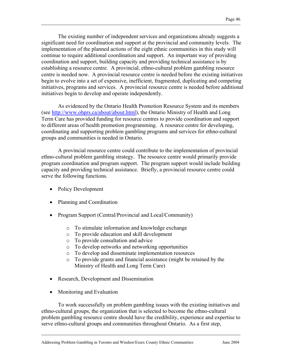The existing number of independent services and organizations already suggests a significant need for coordination and support at the provincial and community levels. The implementation of the planned actions of the eight ethnic communities in this study will continue to require additional coordination and support. An important way of providing coordination and support, building capacity and providing technical assistance is by establishing a resource centre. A provincial, ethno-cultural problem gambling resource centre is needed now. A provincial resource centre is needed before the existing initiatives begin to evolve into a set of expensive, inefficient, fragmented, duplicating and competing initiatives, programs and services. A provincial resource centre is needed before additional initiatives begin to develop and operate independently.

As evidenced by the Ontario Health Promotion Resource System and its members (see http://www.ohprs.ca/about/about.html), the Ontario Ministry of Health and Long Term Care has provided funding for resource centres to provide coordination and support to different areas of health promotion programming. A resource centre for developing, coordinating and supporting problem gambling programs and services for ethno-cultural groups and communities is needed in Ontario.

A provincial resource centre could contribute to the implementation of provincial ethno-cultural problem gambling strategy. The resource centre would primarily provide program coordination and program support. The program support would include building capacity and providing technical assistance. Briefly, a provincial resource centre could serve the following functions.

- Policy Development
- Planning and Coordination
- Program Support (Central/Provincial and Local/Community)
	- o To stimulate information and knowledge exchange
	- o To provide education and skill development
	- o To provide consultation and advice
	- o To develop networks and networking opportunities
	- o To develop and disseminate implementation resources
	- o To provide grants and financial assistance (might be retained by the Ministry of Health and Long Term Care)
- Research, Development and Dissemination
- Monitoring and Evaluation

To work successfully on problem gambling issues with the existing initiatives and ethno-cultural groups, the organization that is selected to become the ethno-cultural problem gambling resource centre should have the credibility, experience and expertise to serve ethno-cultural groups and communities throughout Ontario. As a first step,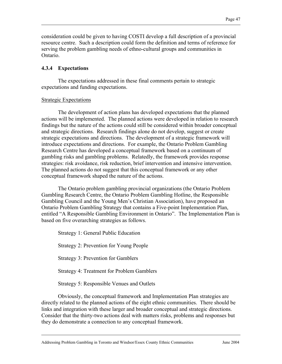consideration could be given to having COSTI develop a full description of a provincial resource centre. Such a description could form the definition and terms of reference for serving the problem gambling needs of ethno-cultural groups and communities in Ontario.

#### **4.3.4 Expectations**

 The expectations addressed in these final comments pertain to strategic expectations and funding expectations.

#### Strategic Expectations

 The development of action plans has developed expectations that the planned actions will be implemented. The planned actions were developed in relation to research findings but the nature of the actions could still be considered within broader conceptual and strategic directions. Research findings alone do not develop, suggest or create strategic expectations and directions. The development of a strategic framework will introduce expectations and directions. For example, the Ontario Problem Gambling Research Centre has developed a conceptual framework based on a continuum of gambling risks and gambling problems. Relatedly, the framework provides response strategies: risk avoidance, risk reduction, brief intervention and intensive intervention. The planned actions do not suggest that this conceptual framework or any other conceptual framework shaped the nature of the actions.

 The Ontario problem gambling provincial organizations (the Ontario Problem Gambling Research Centre, the Ontario Problem Gambling Hotline, the Responsible Gambling Council and the Young Men's Christian Association), have proposed an Ontario Problem Gambling Strategy that contains a Five-point Implementation Plan, entitled "A Responsible Gambling Environment in Ontario". The Implementation Plan is based on five overarching strategies as follows.

Strategy 1: General Public Education Strategy 2: Prevention for Young People Strategy 3: Prevention for Gamblers Strategy 4: Treatment for Problem Gamblers Strategy 5: Responsible Venues and Outlets

 Obviously, the conceptual framework and Implementation Plan strategies are directly related to the planned actions of the eight ethnic communities. There should be links and integration with these larger and broader conceptual and strategic directions. Consider that the thirty-two actions deal with matters risks, problems and responses but they do demonstrate a connection to any conceptual framework.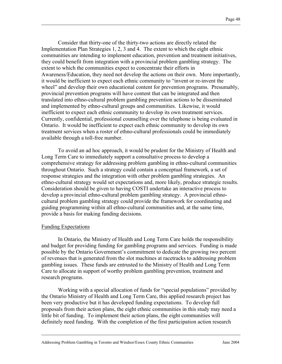Consider that thirty-one of the thirty-two actions are directly related the Implementation Plan Strategies 1, 2, 3 and 4. The extent to which the eight ethnic communities are intending to implement education, prevention and treatment initiatives, they could benefit from integration with a provincial problem gambling strategy. The extent to which the communities expect to concentrate their efforts in Awareness/Education, they need not develop the actions on their own. More importantly, it would be inefficient to expect each ethnic community to "invent or re-invent the wheel" and develop their own educational content for prevention programs. Presumably, provincial prevention programs will have content that can be integrated and then translated into ethno-cultural problem gambling prevention actions to be disseminated and implemented by ethno-cultural groups and communities. Likewise, it would inefficient to expect each ethnic community to develop its own treatment services. Currently, confidential, professional counselling over the telephone is being evaluated in Ontario. It would be inefficient to expect each ethnic community to develop its own treatment services when a roster of ethno-cultural professionals could be immediately available through a toll-free number.

To avoid an ad hoc approach, it would be prudent for the Ministry of Health and Long Term Care to immediately support a consultative process to develop a comprehensive strategy for addressing problem gambling in ethno-cultural communities throughout Ontario. Such a strategy could contain a conceptual framework, a set of response strategies and the integration with other problem gambling strategies. An ethno-cultural strategy would set expectations and, more likely, produce strategic results. Consideration should be given to having COSTI undertake an interactive process to develop a provincial ethno-cultural problem gambling strategy. A provincial ethnocultural problem gambling strategy could provide the framework for coordinating and guiding programming within all ethno-cultural communities and, at the same time, provide a basis for making funding decisions.

#### Funding Expectations

In Ontario, the Ministry of Health and Long Term Care holds the responsibility and budget for providing funding for gambling programs and services. Funding is made possible by the Ontario Government's commitment to dedicate the growing two percent of revenues that is generated from the slot machines at racetracks to addressing problem gambling issues. These funds are entrusted to the Ministry of Health and Long Term Care to allocate in support of worthy problem gambling prevention, treatment and research programs.

Working with a special allocation of funds for "special populations" provided by the Ontario Ministry of Health and Long Term Care, this applied research project has been very productive but it has developed funding expectations. To develop full proposals from their action plans, the eight ethnic communities in this study may need a little bit of funding. To implement their action plans, the eight communities will definitely need funding. With the completion of the first participation action research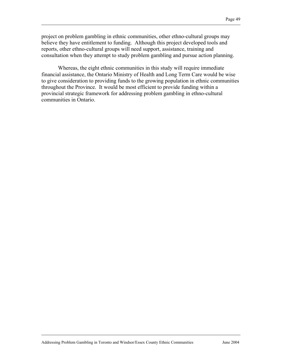project on problem gambling in ethnic communities, other ethno-cultural groups may believe they have entitlement to funding. Although this project developed tools and reports, other ethno-cultural groups will need support, assistance, training and consultation when they attempt to study problem gambling and pursue action planning.

Whereas, the eight ethnic communities in this study will require immediate financial assistance, the Ontario Ministry of Health and Long Term Care would be wise to give consideration to providing funds to the growing population in ethnic communities throughout the Province. It would be most efficient to provide funding within a provincial strategic framework for addressing problem gambling in ethno-cultural communities in Ontario.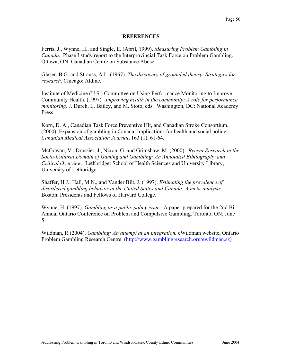#### **REFERENCES**

Ferris, J., Wynne, H., and Single, E. (April, 1999). *Measuring Problem Gambling in Canada*. Phase I study report to the Interprovincial Task Force on Problem Gambling. Ottawa, ON: Canadian Centre on Substance Abuse

Glaser, B.G. and Strauss, A.L. (1967). *The discovery of grounded theory: Strategies for research*. Chicago: Aldine.

Institute of Medicine (U.S.) Committee on Using Performance Monitoring to Improve Community Health. (1997). *Improving health in the community: A role for performance monitoring*. J. Durch, L. Bailey, and M. Stoto, eds. Washington, DC: National Academy Press.

Korn, D. A., Canadian Task Force Preventive Hlt, and Canadian Stroke Consortium. (2000). Expansion of gambling in Canada: Implications for health and social policy. *Canadian Medical Association Journal*, 163 (1), 61-64.

McGowan, V., Drossier, J., Nixon, G. and Grimshaw, M. (2000). *Recent Research in the Socio-Cultural Domain of Gaming and Gambling: An Annotated Bibliography and Critical Overview*. Lethbridge: School of Health Sciences and University Library, University of Lethbridge.

Shaffer, H.J., Hall, M.N., and Vander Bilt, J. (1997). *Estimating the prevalence of disordered gambling behavior in the United States and Canada: A meta-analysis*. Boston: Presidents and Fellows of Harvard College.

Wynne, H. (1997). *Gambling as a public policy issue*. A paper prepared for the 2nd Bi-Annual Ontario Conference on Problem and Compulsive Gambling. Toronto, ON, June 5.

Wildman, R (2004). *Gambling: An attempt at an integration.* eWildman website, Ontario Problem Gambling Research Centre. (http://www.gamblingresearch.org/ewildman.sz)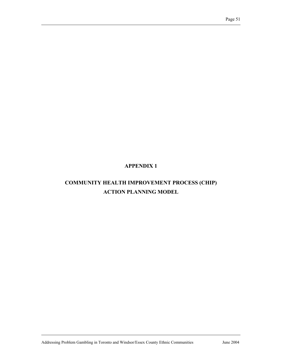## **APPENDIX 1**

## **COMMUNITY HEALTH IMPROVEMENT PROCESS (CHIP) ACTION PLANNING MODEL**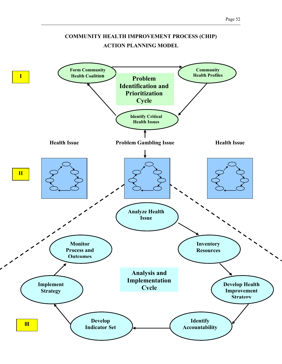

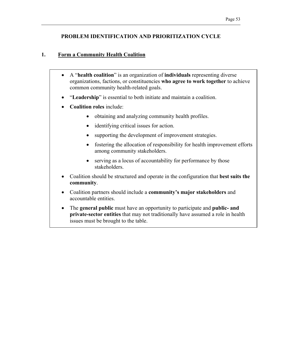#### **PROBLEM IDENTIFICATION AND PRIORITIZATION CYCLE**

## **1. Form a Community Health Coalition**

- A "**health coalition**" is an organization of **individuals** representing diverse organizations, factions, or constituencies **who agree to work together** to achieve common community health-related goals.
- "**Leadership**" is essential to both initiate and maintain a coalition.
- **Coalition roles** include:
	- obtaining and analyzing community health profiles.
	- identifying critical issues for action.
	- supporting the development of improvement strategies.
	- fostering the allocation of responsibility for health improvement efforts among community stakeholders.
	- serving as a locus of accountability for performance by those stakeholders.
- Coalition should be structured and operate in the configuration that **best suits the community**.
- Coalition partners should include a **community's major stakeholders** and accountable entities.
- The **general public** must have an opportunity to participate and **public- and private-sector entities** that may not traditionally have assumed a role in health issues must be brought to the table.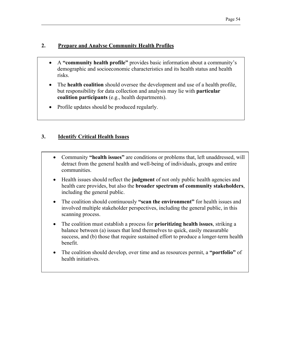## **2. Prepare and Analyse Community Health Profiles**

- A **"community health profile"** provides basic information about a community's demographic and socioeconomic characteristics and its health status and health risks.
- The **health coalition** should oversee the development and use of a health profile, but responsibility for data collection and analysis may lie with **particular coalition participants** (e.g., health departments).
- Profile updates should be produced regularly.

## **3. Identify Critical Health Issues**

- Community **"health issues"** are conditions or problems that, left unaddressed, will detract from the general health and well-being of individuals, groups and entire communities.
- Health issues should reflect the **judgment** of not only public health agencies and health care provides, but also the **broader spectrum of community stakeholders**, including the general public.
- The coalition should continuously "**scan the environment**" for health issues and involved multiple stakeholder perspectives, including the general public, in this scanning process.
- The coalition must establish a process for **prioritizing health issues**, striking a balance between (a) issues that lend themselves to quick, easily measurable success, and (b) those that require sustained effort to produce a longer-term health benefit.
- The coalition should develop, over time and as resources permit, a **"portfolio"** of health initiatives.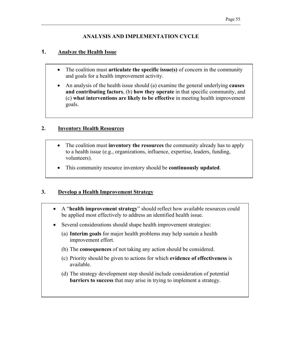## **ANALYSIS AND IMPLEMENTATION CYCLE**

## **1. Analyze the Health Issue**

- The coalition must **articulate the specific issue(s)** of concern in the community and goals for a health improvement activity.
- An analysis of the health issue should (a) examine the general underlying **causes and contributing factors**, (b) **how they operate** in that specific community, and (c) **what interventions are likely to be effective** in meeting health improvement goals.

## **2. Inventory Health Resources**

- The coalition must **inventory the resources** the community already has to apply to a health issue (e.g., organizations, influence, expertise, leaders, funding, volunteers).
- This community resource inventory should be **continuously updated**.

## **3. Develop a Health Improvement Strategy**

- A "**health improvement strategy**" should reflect how available resources could be applied most effectively to address an identified health issue.
- Several considerations should shape health improvement strategies:
	- (a) **Interim goals** for major health problems may help sustain a health improvement effort.
	- (b) The **consequences** of not taking any action should be considered.
	- (c) Priority should be given to actions for which **evidence of effectiveness** is available.
	- (d) The strategy development step should include consideration of potential **barriers to success** that may arise in trying to implement a strategy.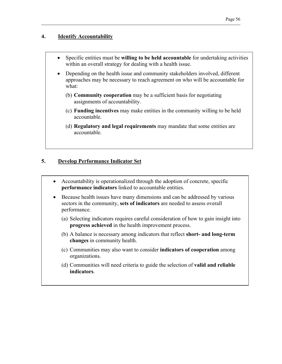#### **4. Identify Accountability**

- Specific entities must be **willing to be held accountable** for undertaking activities within an overall strategy for dealing with a health issue.
- Depending on the health issue and community stakeholders involved, different approaches may be necessary to reach agreement on who will be accountable for what:
	- (b) **Community cooperation** may be a sufficient basis for negotiating assignments of accountability.
	- (c) **Funding incentives** may make entities in the community willing to be held accountable.
	- (d) **Regulatory and legal requirements** may mandate that some entities are accountable.

## **5. Develop Performance Indicator Set**

- Accountability is operationalized through the adoption of concrete, specific **performance indicators** linked to accountable entities.
- Because health issues have many dimensions and can be addressed by various sectors in the community, **sets of indicators** are needed to assess overall performance.
	- (a) Selecting indicators requires careful consideration of how to gain insight into **progress achieved** in the health improvement process.
	- (b) A balance is necessary among indicators that reflect **short- and long-term changes** in community health.
	- (c) Communities may also want to consider **indicators of cooperation** among organizations.
	- (d) Communities will need criteria to guide the selection of **valid and reliable indicators**.